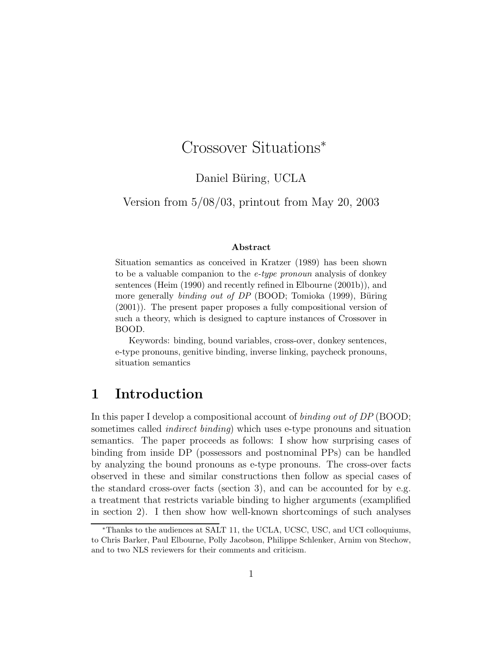# Crossover Situations<sup>∗</sup>

### Daniel Büring, UCLA

Version from 5/08/03, printout from May 20, 2003

#### Abstract

Situation semantics as conceived in Kratzer (1989) has been shown to be a valuable companion to the e-type pronoun analysis of donkey sentences (Heim (1990) and recently refined in Elbourne (2001b)), and more generally *binding out of DP* (BOOD; Tomioka  $(1999)$ , Büring (2001)). The present paper proposes a fully compositional version of such a theory, which is designed to capture instances of Crossover in BOOD.

Keywords: binding, bound variables, cross-over, donkey sentences, e-type pronouns, genitive binding, inverse linking, paycheck pronouns, situation semantics

### 1 Introduction

In this paper I develop a compositional account of *binding out of DP* (BOOD; sometimes called indirect binding) which uses e-type pronouns and situation semantics. The paper proceeds as follows: I show how surprising cases of binding from inside DP (possessors and postnominal PPs) can be handled by analyzing the bound pronouns as e-type pronouns. The cross-over facts observed in these and similar constructions then follow as special cases of the standard cross-over facts (section 3), and can be accounted for by e.g. a treatment that restricts variable binding to higher arguments (examplified in section 2). I then show how well-known shortcomings of such analyses

<sup>∗</sup>Thanks to the audiences at SALT 11, the UCLA, UCSC, USC, and UCI colloquiums, to Chris Barker, Paul Elbourne, Polly Jacobson, Philippe Schlenker, Arnim von Stechow, and to two NLS reviewers for their comments and criticism.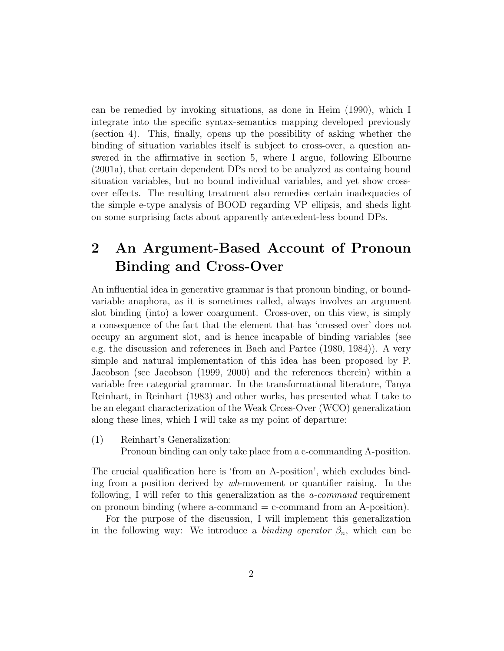can be remedied by invoking situations, as done in Heim (1990), which I integrate into the specific syntax-semantics mapping developed previously (section 4). This, finally, opens up the possibility of asking whether the binding of situation variables itself is subject to cross-over, a question answered in the affirmative in section 5, where I argue, following Elbourne (2001a), that certain dependent DPs need to be analyzed as containg bound situation variables, but no bound individual variables, and yet show crossover effects. The resulting treatment also remedies certain inadequacies of the simple e-type analysis of BOOD regarding VP ellipsis, and sheds light on some surprising facts about apparently antecedent-less bound DPs.

# 2 An Argument-Based Account of Pronoun Binding and Cross-Over

An influential idea in generative grammar is that pronoun binding, or boundvariable anaphora, as it is sometimes called, always involves an argument slot binding (into) a lower coargument. Cross-over, on this view, is simply a consequence of the fact that the element that has 'crossed over' does not occupy an argument slot, and is hence incapable of binding variables (see e.g. the discussion and references in Bach and Partee (1980, 1984)). A very simple and natural implementation of this idea has been proposed by P. Jacobson (see Jacobson (1999, 2000) and the references therein) within a variable free categorial grammar. In the transformational literature, Tanya Reinhart, in Reinhart (1983) and other works, has presented what I take to be an elegant characterization of the Weak Cross-Over (WCO) generalization along these lines, which I will take as my point of departure:

(1) Reinhart's Generalization:

Pronoun binding can only take place from a c-commanding A-position.

The crucial qualification here is 'from an A-position', which excludes binding from a position derived by wh-movement or quantifier raising. In the following, I will refer to this generalization as the a-command requirement on pronoun binding (where a-command  $=$  c-command from an A-position).

For the purpose of the discussion, I will implement this generalization in the following way: We introduce a *binding operator*  $\beta_n$ , which can be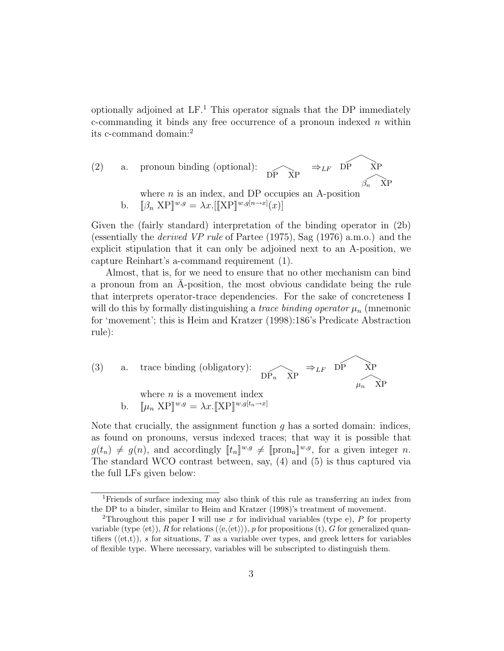optionally adjoined at  $LF<sup>1</sup>$ . This operator signals that the DP immediately c-commanding it binds any free occurrence of a pronoun indexed  $n$  within its c-command domain:<sup>2</sup>

(2) a. pronoun binding (optional): 
$$
\overrightarrow{DP \times P}
$$
  $\Rightarrow_{LF} \overrightarrow{DP \times P}$   
\nwhere *n* is an index, and DP occupies an A-position  
\nb.  $[\beta_n \times P]^{\{w,g\}} = \lambda x. [[\text{XP}]^{\{w,g[n\rightarrow x\}}(x)]$ 

Given the (fairly standard) interpretation of the binding operator in (2b) (essentially the derived VP rule of Partee (1975), Sag (1976) a.m.o.) and the explicit stipulation that it can only be adjoined next to an A-position, we capture Reinhart's a-command requirement (1).

Almost, that is, for we need to ensure that no other mechanism can bind a pronoun from an A-position, the most obvious candidate being the rule that interprets operator-trace dependencies. For the sake of concreteness I will do this by formally distinguishing a *trace binding operator*  $\mu_n$  (mnemonic for 'movement'; this is Heim and Kratzer (1998):186's Predicate Abstraction rule):

(3) a. trace binding (obligatory): 
$$
\widehat{DP_n \times P} \Rightarrow_{LF} \widehat{DP} \times \widehat{NP}
$$
  
\nwhere *n* is a movement index  
\nb.  $[\mu_n \times P]^{\mu, g} = \lambda x. [\text{XP}]^{\mu, g[t_n \to x]}$ 

Note that crucially, the assignment function  $g$  has a sorted domain: indices, as found on pronouns, versus indexed traces; that way it is possible that  $g(t_n) \neq g(n)$ , and accordingly  $[t_n]^{w,g} \neq [\text{pron}_n]^{w,g}$ , for a given integer n. The standard WCO contrast between, say, (4) and (5) is thus captured via the full LFs given below:

<sup>1</sup>Friends of surface indexing may also think of this rule as transferring an index from the DP to a binder, similar to Heim and Kratzer (1998)'s treatment of movement.

<sup>&</sup>lt;sup>2</sup>Throughout this paper I will use x for individual variables (type e), P for property variable (type  $\langle et \rangle$ ), R for relations  $(\langle e, \langle et \rangle)$ ), p for propositions (t), G for generalized quantifiers ( $\langle et, t \rangle$ ), s for situations, T as a variable over types, and greek letters for variables of flexible type. Where necessary, variables will be subscripted to distinguish them.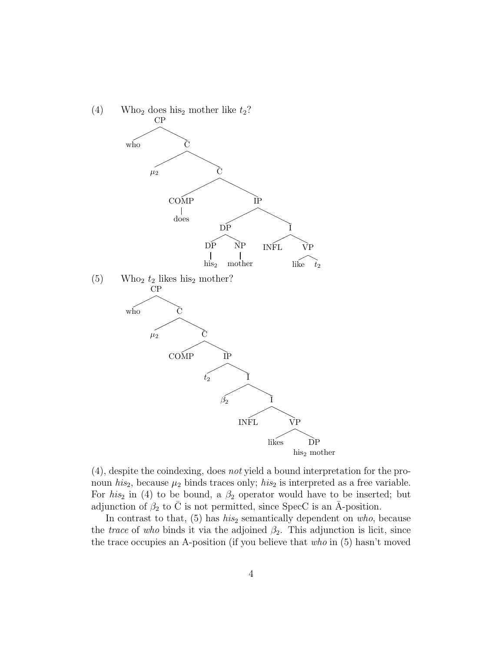

(4), despite the coindexing, does not yield a bound interpretation for the pronoun his<sub>2</sub>, because  $\mu_2$  binds traces only; his<sub>2</sub> is interpreted as a free variable. For his<sub>2</sub> in (4) to be bound, a  $\beta_2$  operator would have to be inserted; but adjunction of  $\beta_2$  to  $\overline{C}$  is not permitted, since SpecC is an  $\overline{A}$ -position.

In contrast to that,  $(5)$  has *his*<sub>2</sub> semantically dependent on *who*, because the *trace* of who binds it via the adjoined  $\beta_2$ . This adjunction is licit, since the trace occupies an A-position (if you believe that who in (5) hasn't moved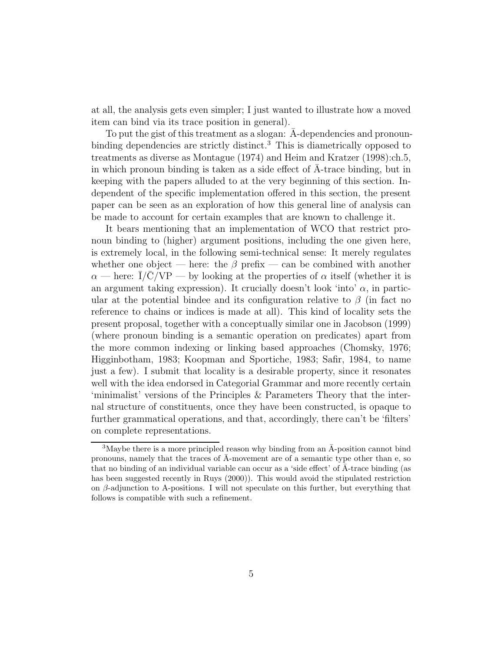at all, the analysis gets even simpler; I just wanted to illustrate how a moved item can bind via its trace position in general).

To put the gist of this treatment as a slogan:  $\bar{A}$ -dependencies and pronounbinding dependencies are strictly distinct.<sup>3</sup> This is diametrically opposed to treatments as diverse as Montague (1974) and Heim and Kratzer (1998):ch.5, in which pronoun binding is taken as a side effect of A-trace binding, but in ¯ keeping with the papers alluded to at the very beginning of this section. Independent of the specific implementation offered in this section, the present paper can be seen as an exploration of how this general line of analysis can be made to account for certain examples that are known to challenge it.

It bears mentioning that an implementation of WCO that restrict pronoun binding to (higher) argument positions, including the one given here, is extremely local, in the following semi-technical sense: It merely regulates whether one object — here: the  $\beta$  prefix — can be combined with another  $\alpha$  — here:  $\overline{I}/\overline{C}/VP$  — by looking at the properties of  $\alpha$  itself (whether it is an argument taking expression). It crucially doesn't look 'into'  $\alpha$ , in particular at the potential bindee and its configuration relative to  $\beta$  (in fact no reference to chains or indices is made at all). This kind of locality sets the present proposal, together with a conceptually similar one in Jacobson (1999) (where pronoun binding is a semantic operation on predicates) apart from the more common indexing or linking based approaches (Chomsky, 1976; Higginbotham, 1983; Koopman and Sportiche, 1983; Safir, 1984, to name just a few). I submit that locality is a desirable property, since it resonates well with the idea endorsed in Categorial Grammar and more recently certain 'minimalist' versions of the Principles & Parameters Theory that the internal structure of constituents, once they have been constructed, is opaque to further grammatical operations, and that, accordingly, there can't be 'filters' on complete representations.

<sup>&</sup>lt;sup>3</sup>Maybe there is a more principled reason why binding from an  $\bar{A}$ -position cannot bind pronouns, namely that the traces of  $\overline{A}$ -movement are of a semantic type other than e, so that no binding of an individual variable can occur as a 'side effect' of  $A$ -trace binding (as has been suggested recently in Ruys (2000)). This would avoid the stipulated restriction on  $\beta$ -adjunction to A-positions. I will not speculate on this further, but everything that follows is compatible with such a refinement.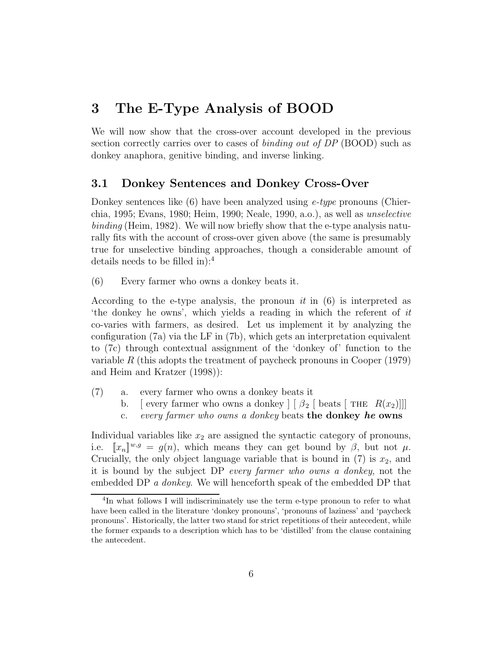## 3 The E-Type Analysis of BOOD

We will now show that the cross-over account developed in the previous section correctly carries over to cases of *binding out of DP* (BOOD) such as donkey anaphora, genitive binding, and inverse linking.

#### 3.1 Donkey Sentences and Donkey Cross-Over

Donkey sentences like  $(6)$  have been analyzed using *e-type* pronouns (Chierchia, 1995; Evans, 1980; Heim, 1990; Neale, 1990, a.o.), as well as unselective binding (Heim, 1982). We will now briefly show that the e-type analysis naturally fits with the account of cross-over given above (the same is presumably true for unselective binding approaches, though a considerable amount of details needs to be filled in):<sup>4</sup>

(6) Every farmer who owns a donkey beats it.

According to the e-type analysis, the pronoun it in  $(6)$  is interpreted as 'the donkey he owns', which yields a reading in which the referent of it co-varies with farmers, as desired. Let us implement it by analyzing the configuration (7a) via the LF in (7b), which gets an interpretation equivalent to (7c) through contextual assignment of the 'donkey of' function to the variable R (this adopts the treatment of paycheck pronouns in Cooper (1979) and Heim and Kratzer (1998)):

- (7) a. every farmer who owns a donkey beats it
	- b. [ every farmer who owns a donkey  $\left| \begin{array}{cc} \beta_2 \end{array} \right|$  beats  $\left| \begin{array}{cc} \text{THE} & R(x_2) \end{array} \right|$ ]
	- c. every farmer who owns a donkey beats the donkey he owns

Individual variables like  $x_2$  are assigned the syntactic category of pronouns, i.e.  $\|x_n\|^{w,g} = g(n)$ , which means they can get bound by  $\beta$ , but not  $\mu$ . Crucially, the only object language variable that is bound in  $(7)$  is  $x_2$ , and it is bound by the subject DP every farmer who owns a donkey, not the embedded DP a donkey. We will henceforth speak of the embedded DP that

<sup>&</sup>lt;sup>4</sup>In what follows I will indiscriminately use the term e-type pronoun to refer to what have been called in the literature 'donkey pronouns', 'pronouns of laziness' and 'paycheck pronouns'. Historically, the latter two stand for strict repetitions of their antecedent, while the former expands to a description which has to be 'distilled' from the clause containing the antecedent.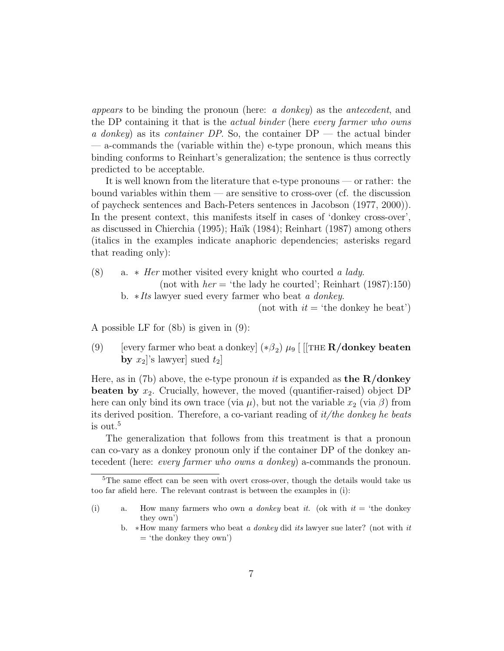appears to be binding the pronoun (here: a donkey) as the antecedent, and the DP containing it that is the *actual binder* (here *every farmer who owns* a donkey) as its container DP. So, the container  $DP -$  the actual binder — a-commands the (variable within the) e-type pronoun, which means this binding conforms to Reinhart's generalization; the sentence is thus correctly predicted to be acceptable.

It is well known from the literature that e-type pronouns — or rather: the bound variables within them — are sensitive to cross-over (cf. the discussion of paycheck sentences and Bach-Peters sentences in Jacobson (1977, 2000)). In the present context, this manifests itself in cases of 'donkey cross-over', as discussed in Chierchia (1995); Haïk (1984); Reinhart (1987) among others (italics in the examples indicate anaphoric dependencies; asterisks regard that reading only):

- (8) a.  $*$  *Her* mother visited every knight who courted a lady. (not with  $her = 'the$  lady he courted'; Reinhart (1987):150)
	- b. ∗Its lawyer sued every farmer who beat a donkey.

(not with  $it = 'the$  donkey he beat')

A possible LF for (8b) is given in (9):

(9) [every farmer who beat a donkey]  $(*\beta_2) \mu_9$  [[[THE **R/donkey beaten** by  $x_2$ 's lawyer] sued  $t_2$ ]

Here, as in (7b) above, the e-type pronoun *it* is expanded as **the R/donkey beaten by**  $x_2$ . Crucially, however, the moved (quantifier-raised) object DP here can only bind its own trace (via  $\mu$ ), but not the variable  $x_2$  (via  $\beta$ ) from its derived position. Therefore, a co-variant reading of  $it/the$  donkey he beats is out.<sup>5</sup>

The generalization that follows from this treatment is that a pronoun can co-vary as a donkey pronoun only if the container DP of the donkey antecedent (here: every farmer who owns a donkey) a-commands the pronoun.

<sup>&</sup>lt;sup>5</sup>The same effect can be seen with overt cross-over, though the details would take us too far afield here. The relevant contrast is between the examples in (i):

<sup>(</sup>i) a. How many farmers who own a donkey beat it. (ok with  $it = 'the$  donkey they own')

b. ∗How many farmers who beat a donkey did its lawyer sue later? (not with it  $=$  'the donkey they own')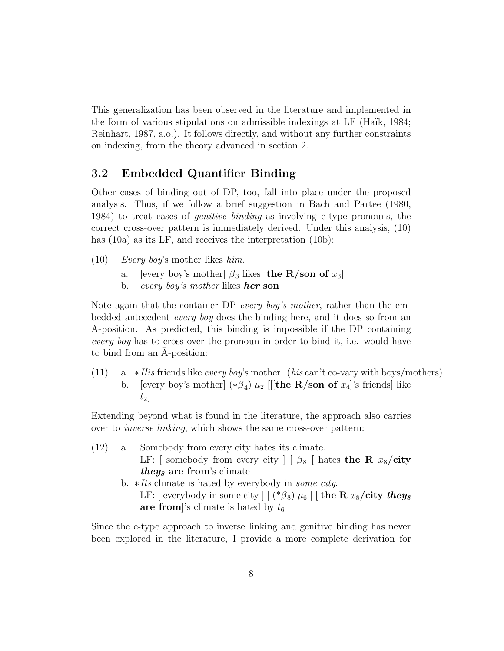This generalization has been observed in the literature and implemented in the form of various stipulations on admissible indexings at  $LF$  (Haïk, 1984; Reinhart, 1987, a.o.). It follows directly, and without any further constraints on indexing, from the theory advanced in section 2.

#### 3.2 Embedded Quantifier Binding

Other cases of binding out of DP, too, fall into place under the proposed analysis. Thus, if we follow a brief suggestion in Bach and Partee (1980, 1984) to treat cases of genitive binding as involving e-type pronouns, the correct cross-over pattern is immediately derived. Under this analysis, (10) has (10a) as its LF, and receives the interpretation (10b):

- (10) Every boy's mother likes him.
	- a. [every boy's mother]  $\beta_3$  likes [the R/son of  $x_3$ ]
	- b. every boy's mother likes **her son**

Note again that the container DP every boy's mother, rather than the embedded antecedent every boy does the binding here, and it does so from an A-position. As predicted, this binding is impossible if the DP containing every boy has to cross over the pronoun in order to bind it, i.e. would have to bind from an A-position:

(11) a.  $*His$  friends like *every boy's* mother. (*his* can't co-vary with boys/mothers) b. [every boy's mother]  $(*\beta_4)$   $\mu_2$  [[[the R/son of  $x_4$ ]'s friends] like  $t_2$ 

Extending beyond what is found in the literature, the approach also carries over to inverse linking, which shows the same cross-over pattern:

- (12) a. Somebody from every city hates its climate. LF: [ somebody from every city ] [  $\beta_8$  [ hates the R  $x_8$ /city *theys* are from's climate b. ∗Its climate is hated by everybody in some city.
	- LF: [ everybody in some city  $\left[ \begin{array}{c} ( * \beta_8) \mu_6 \end{array} \right]$  [  $\left[ \begin{array}{c} \textbf{the R} \ x_8 \textbf{/city } \textbf{they} \end{array} \right]$ are from sclimate is hated by  $t_6$

Since the e-type approach to inverse linking and genitive binding has never been explored in the literature, I provide a more complete derivation for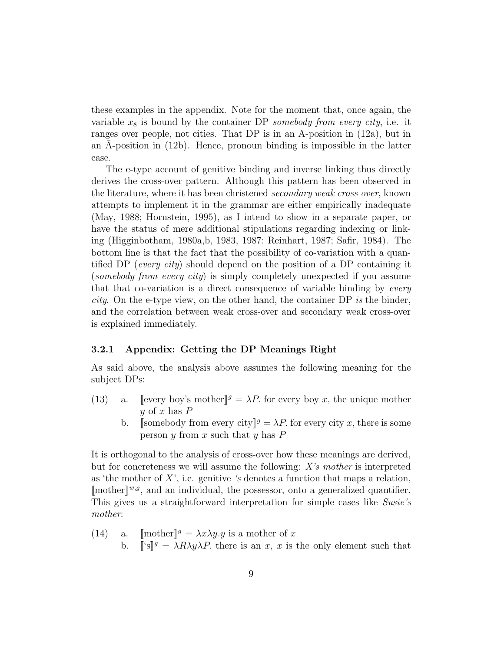these examples in the appendix. Note for the moment that, once again, the variable  $x_8$  is bound by the container DP somebody from every city, i.e. it ranges over people, not cities. That DP is in an A-position in (12a), but in an A-position in  $(12b)$ . Hence, pronoun binding is impossible in the latter case.

The e-type account of genitive binding and inverse linking thus directly derives the cross-over pattern. Although this pattern has been observed in the literature, where it has been christened secondary weak cross over, known attempts to implement it in the grammar are either empirically inadequate (May, 1988; Hornstein, 1995), as I intend to show in a separate paper, or have the status of mere additional stipulations regarding indexing or linking (Higginbotham, 1980a,b, 1983, 1987; Reinhart, 1987; Safir, 1984). The bottom line is that the fact that the possibility of co-variation with a quantified DP (every city) should depend on the position of a DP containing it (somebody from every city) is simply completely unexpected if you assume that that co-variation is a direct consequence of variable binding by *every city*. On the e-type view, on the other hand, the container DP is the binder, and the correlation between weak cross-over and secondary weak cross-over is explained immediately.

#### 3.2.1 Appendix: Getting the DP Meanings Right

As said above, the analysis above assumes the following meaning for the subject DPs:

- (13) a. [[every boy's mother]<sup>g</sup> =  $\lambda P$ . for every boy x, the unique mother y of x has  $P$ 
	- b. Somebody from every city  $\ell^g = \lambda P$ . for every city x, there is some person y from x such that y has  $P$

It is orthogonal to the analysis of cross-over how these meanings are derived, but for concreteness we will assume the following: X's mother is interpreted as 'the mother of  $X'$ , i.e. genitive 's denotes a function that maps a relation,  $[\text{mother}]^{w,g}$ , and an individual, the possessor, onto a generalized quantifier. This gives us a straightforward interpretation for simple cases like Susie's mother:

(14) a. [mother]<sup>$$
g
$$</sup> =  $\lambda x \lambda y.y$  is a mother of  $x$   
b.  $[[s]] $g$  =  $\lambda R \lambda y \lambda P$ , there is an  $x, x$  is the only element such that$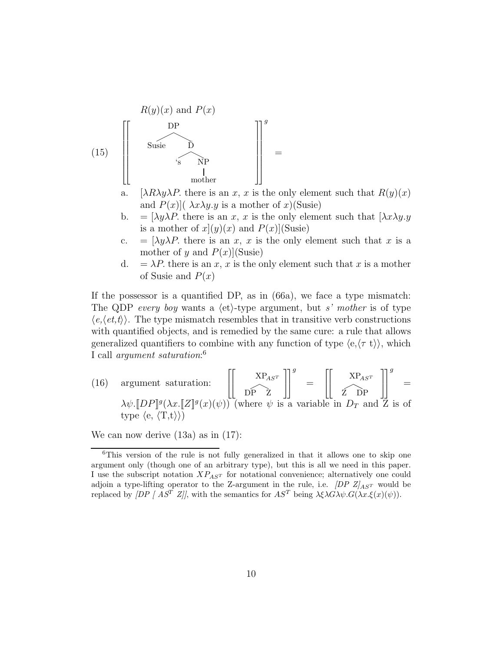$$
(15)
$$
\n
$$
\begin{bmatrix}\nR(y)(x) \text{ and } P(x) \\
\downarrow \text{Suse} \\
\downarrow \text{Solve} \\
\downarrow \text{mother}\n\end{bmatrix}^{g} =
$$

- a. [ $\lambda R \lambda y \lambda P$ . there is an x, x is the only element such that  $R(y)(x)$ and  $P(x)$   $(\lambda x \lambda y \cdot y)$  is a mother of x  $(Susie)$
- b. =  $[\lambda y \lambda P]$ . there is an x, x is the only element such that  $[\lambda x \lambda y \cdot y]$ is a mother of  $x|(y)(x)$  and  $P(x)|$ (Susie)
- c. =  $[\lambda y \lambda P]$ . there is an x, x is the only element such that x is a mother of y and  $P(x)$ [Susie]
- d.  $=\lambda P$  there is an x, x is the only element such that x is a mother of Susie and  $P(x)$

If the possessor is a quantified DP, as in (66a), we face a type mismatch: The QDP every boy wants a  $\langle$ et $\rangle$ -type argument, but s' mother is of type  $\langle e, \langle e, t \rangle \rangle$ . The type mismatch resembles that in transitive verb constructions with quantified objects, and is remedied by the same cure: a rule that allows generalized quantifiers to combine with any function of type  $\langle e, \langle \tau | t \rangle \rangle$ , which I call *argument saturation*:<sup>6</sup>

(16) argument saturation: 
$$
\left[\begin{bmatrix} \text{XP}_{AS^T} \\ \text{DP } Z \end{bmatrix}\right]^g = \left[\begin{bmatrix} \text{XP}_{AS^T} \\ \text{Z} \text{DP} \end{bmatrix}\right]^g = \left[\begin{bmatrix} \text{XP}_{AS^T} \\ \text{Z} \text{DP} \end{bmatrix}\right]^g
$$
  
\n $\lambda \psi . [DP]^g (\lambda x . [Z]^g (x) (\psi))$  (where  $\psi$  is a variable in  $D_T$  and  $Z$  is of type  $\langle e, \langle T, t \rangle \rangle$ )

We can now derive (13a) as in (17):

<sup>6</sup>This version of the rule is not fully generalized in that it allows one to skip one argument only (though one of an arbitrary type), but this is all we need in this paper. I use the subscript notation  $XP_{AST}$  for notational convenience; alternatively one could adjoin a type-lifting operator to the Z-argument in the rule, i.e.  $[DP Z]_{AST}$  would be replaced by  $[DP \mid \overrightarrow{AS^T} \ \overrightarrow{Z}]]$ , with the semantics for  $AS^T$  being  $\lambda \xi \lambda \overrightarrow{G} \lambda \psi \cdot G(\lambda x. \xi(x)(\psi)).$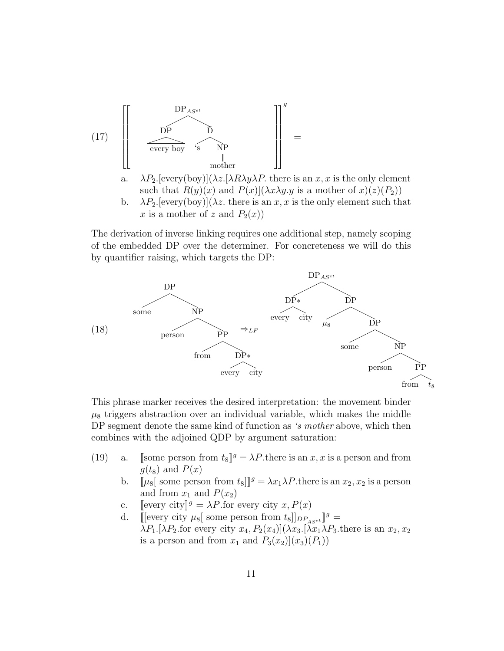(17) 
$$
\left[\begin{array}{ccc}DP_{A^{get}} & & & \\ \hline DP & D & & \\ \hline \text{every boy} & s & NP & \\ \text{under} & \Big\downarrow^2 & \Big\downarrow^2 & \\ \text{under} & \Big\downarrow^2 & \Big\downarrow^2 & \Big\downarrow^2 & \\ \end{array}\right] =
$$

- a.  $\lambda P_2$ . [every(boy)]( $\lambda z$ . [ $\lambda R\lambda y\lambda P$ . there is an x, x is the only element such that  $R(y)(x)$  and  $P(x)|(\lambda x \lambda y.y)$  is a mother of  $x)(z)(P_2)$
- b.  $\lambda P_2$ . [every(boy)]( $\lambda z$ . there is an x, x is the only element such that x is a mother of z and  $P_2(x)$

The derivation of inverse linking requires one additional step, namely scoping of the embedded DP over the determiner. For concreteness we will do this by quantifier raising, which targets the DP:



This phrase marker receives the desired interpretation: the movement binder  $\mu_8$  triggers abstraction over an individual variable, which makes the middle DP segment denote the same kind of function as 's mother above, which then combines with the adjoined QDP by argument saturation:

- (19) a. [[some person from  $t_8$ ][ $g = \lambda P$ .there is an x, x is a person and from  $g(t_8)$  and  $P(x)$ 
	- b.  $[\![\mu_8[\!]$  some person from  $t_8][\!]^g = \lambda x_1 \lambda P$ . there is an  $x_2, x_2$  is a person and from  $x_1$  and  $P(x_2)$
	- c. [[every city]] $g = \lambda P$  for every city x,  $P(x)$
	- d. [[every city  $\mu_8[$  some person from  $t_8$ ]] $_{DP_{\text{A}set}}$ ] $g =$  $\lambda P_1$ .[ $\lambda P_2$ .for every city  $x_4$ ,  $P_2(x_4)$ ]( $\lambda x_3$ .[ $\lambda x_1 \lambda P_3$ .there is an  $x_2$ ,  $x_2$ is a person and from  $x_1$  and  $P_3(x_2)|(x_3)(P_1)$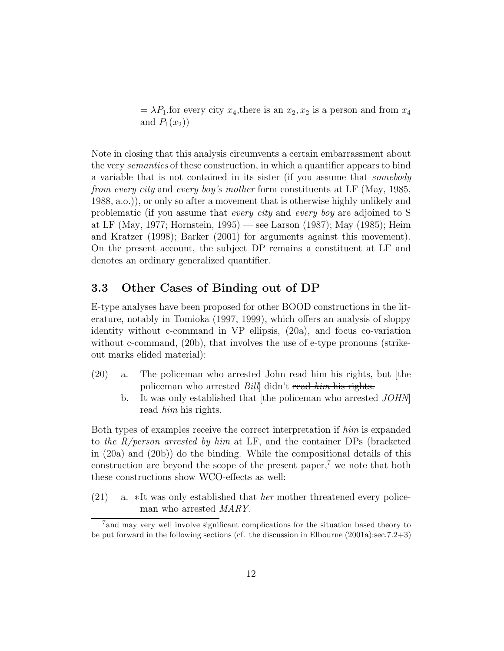$=\lambda P_1$  for every city  $x_4$ , there is an  $x_2, x_2$  is a person and from  $x_4$ and  $P_1(x_2)$ 

Note in closing that this analysis circumvents a certain embarrassment about the very semantics of these construction, in which a quantifier appears to bind a variable that is not contained in its sister (if you assume that somebody from every city and every boy's mother form constituents at LF (May, 1985, 1988, a.o.)), or only so after a movement that is otherwise highly unlikely and problematic (if you assume that every city and every boy are adjoined to S at LF (May, 1977; Hornstein, 1995) — see Larson (1987); May (1985); Heim and Kratzer (1998); Barker (2001) for arguments against this movement). On the present account, the subject DP remains a constituent at LF and denotes an ordinary generalized quantifier.

### 3.3 Other Cases of Binding out of DP

E-type analyses have been proposed for other BOOD constructions in the literature, notably in Tomioka (1997, 1999), which offers an analysis of sloppy identity without c-command in VP ellipsis, (20a), and focus co-variation without c-command, (20b), that involves the use of e-type pronouns (strikeout marks elided material):

- (20) a. The policeman who arrested John read him his rights, but [the policeman who arrested *Bill* didn't read him his rights.
	- b. It was only established that [the policeman who arrested JOHN] read him his rights.

Both types of examples receive the correct interpretation if him is expanded to the  $R/person$  arrested by him at LF, and the container DPs (bracketed in (20a) and (20b)) do the binding. While the compositional details of this construction are beyond the scope of the present paper,<sup> $7$ </sup> we note that both these constructions show WCO-effects as well:

(21) a. ∗It was only established that her mother threatened every policeman who arrested MARY.

<sup>7</sup>and may very well involve significant complications for the situation based theory to be put forward in the following sections (cf. the discussion in Elbourne (2001a):sec.7.2+3)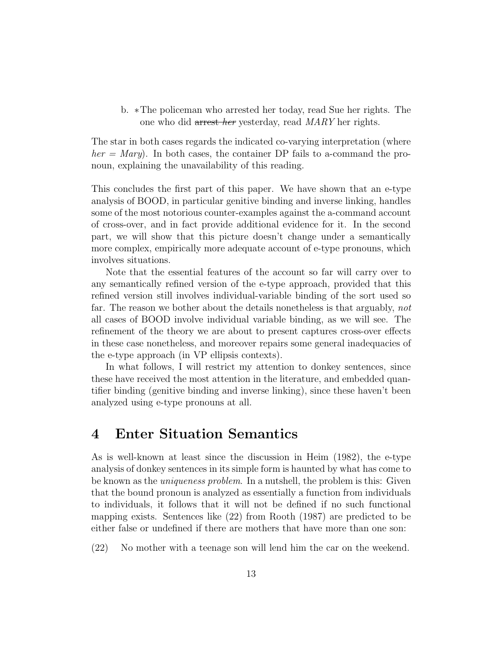b. ∗The policeman who arrested her today, read Sue her rights. The one who did arrest her yesterday, read MARY her rights.

The star in both cases regards the indicated co-varying interpretation (where  $her = Mary$ ). In both cases, the container DP fails to a-command the pronoun, explaining the unavailability of this reading.

This concludes the first part of this paper. We have shown that an e-type analysis of BOOD, in particular genitive binding and inverse linking, handles some of the most notorious counter-examples against the a-command account of cross-over, and in fact provide additional evidence for it. In the second part, we will show that this picture doesn't change under a semantically more complex, empirically more adequate account of e-type pronouns, which involves situations.

Note that the essential features of the account so far will carry over to any semantically refined version of the e-type approach, provided that this refined version still involves individual-variable binding of the sort used so far. The reason we bother about the details nonetheless is that arguably, not all cases of BOOD involve individual variable binding, as we will see. The refinement of the theory we are about to present captures cross-over effects in these case nonetheless, and moreover repairs some general inadequacies of the e-type approach (in VP ellipsis contexts).

In what follows, I will restrict my attention to donkey sentences, since these have received the most attention in the literature, and embedded quantifier binding (genitive binding and inverse linking), since these haven't been analyzed using e-type pronouns at all.

### 4 Enter Situation Semantics

As is well-known at least since the discussion in Heim (1982), the e-type analysis of donkey sentences in its simple form is haunted by what has come to be known as the uniqueness problem. In a nutshell, the problem is this: Given that the bound pronoun is analyzed as essentially a function from individuals to individuals, it follows that it will not be defined if no such functional mapping exists. Sentences like (22) from Rooth (1987) are predicted to be either false or undefined if there are mothers that have more than one son:

(22) No mother with a teenage son will lend him the car on the weekend.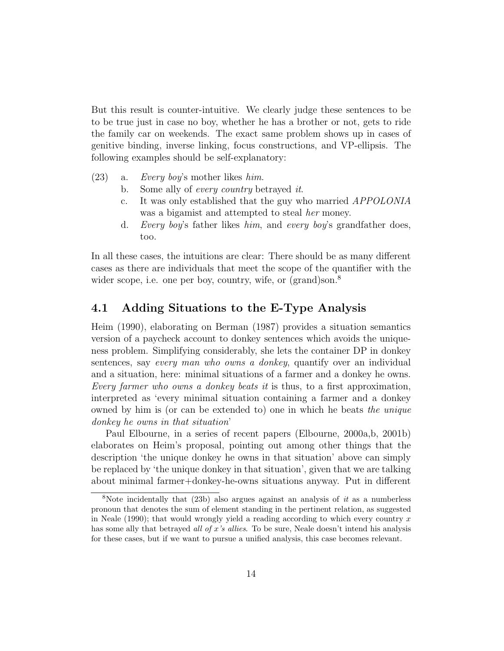But this result is counter-intuitive. We clearly judge these sentences to be to be true just in case no boy, whether he has a brother or not, gets to ride the family car on weekends. The exact same problem shows up in cases of genitive binding, inverse linking, focus constructions, and VP-ellipsis. The following examples should be self-explanatory:

- (23) a. Every boy's mother likes him.
	- b. Some ally of *every country* betrayed *it*.
	- c. It was only established that the guy who married APPOLONIA was a bigamist and attempted to steal her money.
	- d. Every boy's father likes him, and every boy's grandfather does, too.

In all these cases, the intuitions are clear: There should be as many different cases as there are individuals that meet the scope of the quantifier with the wider scope, i.e. one per boy, country, wife, or (grand)son.<sup>8</sup>

#### 4.1 Adding Situations to the E-Type Analysis

Heim (1990), elaborating on Berman (1987) provides a situation semantics version of a paycheck account to donkey sentences which avoids the uniqueness problem. Simplifying considerably, she lets the container DP in donkey sentences, say every man who owns a donkey, quantify over an individual and a situation, here: minimal situations of a farmer and a donkey he owns. Every farmer who owns a donkey beats it is thus, to a first approximation, interpreted as 'every minimal situation containing a farmer and a donkey owned by him is (or can be extended to) one in which he beats the unique donkey he owns in that situation'

Paul Elbourne, in a series of recent papers (Elbourne, 2000a,b, 2001b) elaborates on Heim's proposal, pointing out among other things that the description 'the unique donkey he owns in that situation' above can simply be replaced by 'the unique donkey in that situation', given that we are talking about minimal farmer+donkey-he-owns situations anyway. Put in different

<sup>&</sup>lt;sup>8</sup>Note incidentally that (23b) also argues against an analysis of it as a numberless pronoun that denotes the sum of element standing in the pertinent relation, as suggested in Neale (1990); that would wrongly yield a reading according to which every country  $x$ has some ally that betrayed *all of x's allies*. To be sure, Neale doesn't intend his analysis for these cases, but if we want to pursue a unified analysis, this case becomes relevant.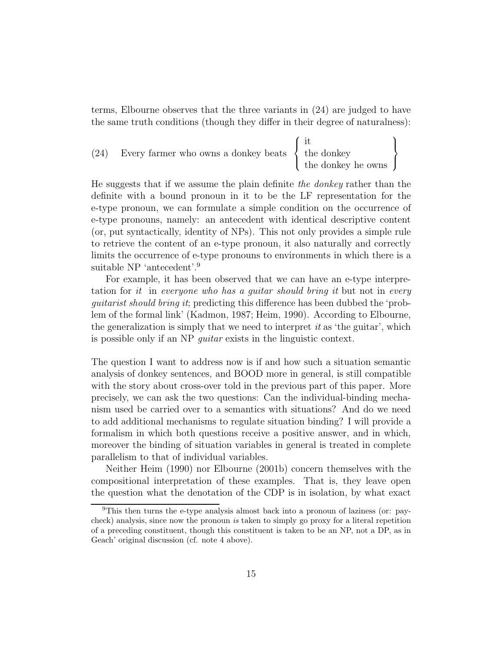terms, Elbourne observes that the three variants in (24) are judged to have the same truth conditions (though they differ in their degree of naturalness):

(24) Every farmer who owns a donkey beats 
$$
\left\{\begin{array}{c}\text{it} \\ \text{the donkey} \\ \text{the donkey he owns}\end{array}\right\}
$$

He suggests that if we assume the plain definite the donkey rather than the definite with a bound pronoun in it to be the LF representation for the e-type pronoun, we can formulate a simple condition on the occurrence of e-type pronouns, namely: an antecedent with identical descriptive content (or, put syntactically, identity of NPs). This not only provides a simple rule to retrieve the content of an e-type pronoun, it also naturally and correctly limits the occurrence of e-type pronouns to environments in which there is a suitable NP 'antecedent'.<sup>9</sup>

For example, it has been observed that we can have an e-type interpretation for it in everyone who has a quitar should bring it but not in every guitarist should bring it; predicting this difference has been dubbed the 'problem of the formal link' (Kadmon, 1987; Heim, 1990). According to Elbourne, the generalization is simply that we need to interpret  $it$  as 'the guitar', which is possible only if an NP guitar exists in the linguistic context.

The question I want to address now is if and how such a situation semantic analysis of donkey sentences, and BOOD more in general, is still compatible with the story about cross-over told in the previous part of this paper. More precisely, we can ask the two questions: Can the individual-binding mechanism used be carried over to a semantics with situations? And do we need to add additional mechanisms to regulate situation binding? I will provide a formalism in which both questions receive a positive answer, and in which, moreover the binding of situation variables in general is treated in complete parallelism to that of individual variables.

Neither Heim (1990) nor Elbourne (2001b) concern themselves with the compositional interpretation of these examples. That is, they leave open the question what the denotation of the CDP is in isolation, by what exact

<sup>9</sup>This then turns the e-type analysis almost back into a pronoun of laziness (or: paycheck) analysis, since now the pronoun is taken to simply go proxy for a literal repetition of a preceding constituent, though this constituent is taken to be an NP, not a DP, as in Geach' original discussion (cf. note 4 above).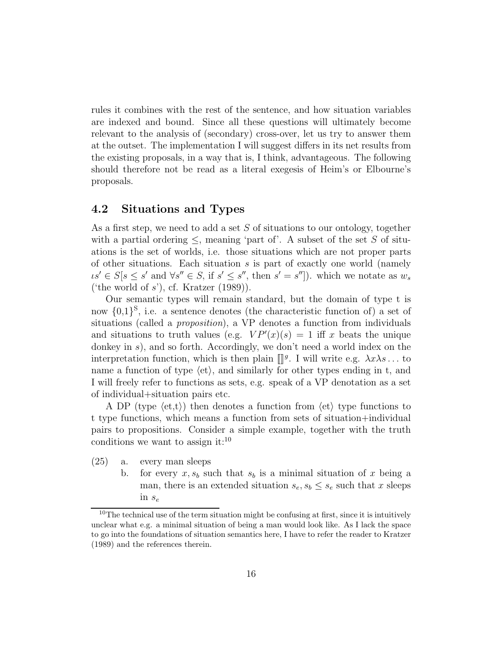rules it combines with the rest of the sentence, and how situation variables are indexed and bound. Since all these questions will ultimately become relevant to the analysis of (secondary) cross-over, let us try to answer them at the outset. The implementation I will suggest differs in its net results from the existing proposals, in a way that is, I think, advantageous. The following should therefore not be read as a literal exegesis of Heim's or Elbourne's proposals.

#### 4.2 Situations and Types

As a first step, we need to add a set S of situations to our ontology, together with a partial ordering  $\leq$ , meaning 'part of'. A subset of the set S of situations is the set of worlds, i.e. those situations which are not proper parts of other situations. Each situation  $s$  is part of exactly one world (namely  $\iota s' \in S[s \leq s' \text{ and } \forall s'' \in S, \text{ if } s' \leq s'', \text{ then } s' = s'']$ ). which we notate as  $w_s$ ('the world of  $s$ '), cf. Kratzer (1989)).

Our semantic types will remain standard, but the domain of type t is now  $\{0,1\}^S$ , i.e. a sentence denotes (the characteristic function of) a set of situations (called a *proposition*), a VP denotes a function from individuals and situations to truth values (e.g.  $VP'(x)(s) = 1$  iff x beats the unique donkey in s), and so forth. Accordingly, we don't need a world index on the interpretation function, which is then plain  $\mathbb{I}^g$ . I will write e.g.  $\lambda x \lambda s \dots$  to name a function of type  $\langle et \rangle$ , and similarly for other types ending in t, and I will freely refer to functions as sets, e.g. speak of a VP denotation as a set of individual+situation pairs etc.

A DP (type  $\langle et, t \rangle$ ) then denotes a function from  $\langle et \rangle$  type functions to t type functions, which means a function from sets of situation+individual pairs to propositions. Consider a simple example, together with the truth conditions we want to assign it: $^{10}$ 

- (25) a. every man sleeps
	- b. for every  $x, s_b$  such that  $s_b$  is a minimal situation of x being a man, there is an extended situation  $s_e, s_b \leq s_e$  such that x sleeps in  $s_e$

<sup>&</sup>lt;sup>10</sup>The technical use of the term situation might be confusing at first, since it is intuitively unclear what e.g. a minimal situation of being a man would look like. As I lack the space to go into the foundations of situation semantics here, I have to refer the reader to Kratzer (1989) and the references therein.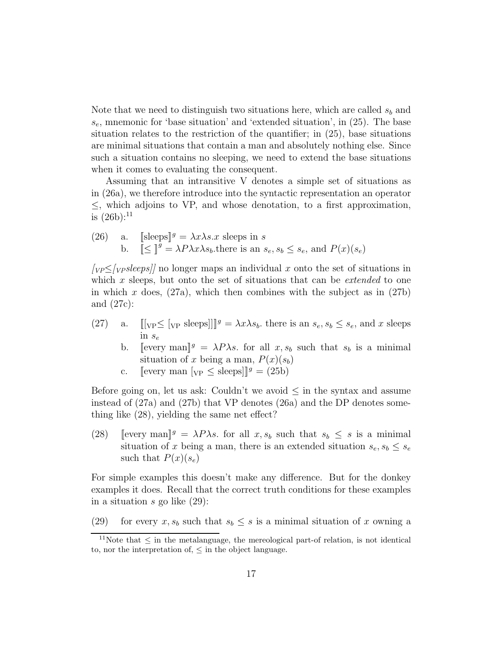Note that we need to distinguish two situations here, which are called  $s<sub>b</sub>$  and  $s_e$ , mnemonic for 'base situation' and 'extended situation', in (25). The base situation relates to the restriction of the quantifier; in (25), base situations are minimal situations that contain a man and absolutely nothing else. Since such a situation contains no sleeping, we need to extend the base situations when it comes to evaluating the consequent.

Assuming that an intransitive V denotes a simple set of situations as in (26a), we therefore introduce into the syntactic representation an operator  $\leq$ , which adjoins to VP, and whose denotation, to a first approximation, is  $(26b)$ :<sup>11</sup>

(26) a. [[sleeps]<sup>g</sup> =  $\lambda x \lambda s.x$  sleeps in s b.  $\[\mathbf{\underline{S}}\]^g = \lambda P \lambda x \lambda s_b$  there is an  $s_e, s_b \leq s_e$ , and  $P(x)(s_e)$ 

 $[y_P \leq y_S]$  no longer maps an individual x onto the set of situations in which x sleeps, but onto the set of situations that can be *extended* to one in which x does,  $(27a)$ , which then combines with the subject as in  $(27b)$ and (27c):

- (27) a.  $[[\nabla P \leq [\nabla P \leq S] \cdot \mathbf{S}] \cdot \mathbf{S}$  and  $s_e, s_b \leq s_e$ , and x sleeps in  $s_e$ 
	- b. [every man]<sup>g</sup> =  $\lambda P \lambda s$ . for all  $x, s_b$  such that  $s_b$  is a minimal situation of x being a man,  $P(x)(s_b)$
	- c. [[every man  $[y_P \leq \text{sleps}]$ ][ $\mathscr{G} = (25b)$ ]

Before going on, let us ask: Couldn't we avoid  $\leq$  in the syntax and assume instead of (27a) and (27b) that VP denotes (26a) and the DP denotes something like (28), yielding the same net effect?

(28) [[every man]]  $g = \lambda P \lambda s$ . for all  $x, s_b$  such that  $s_b \leq s$  is a minimal situation of x being a man, there is an extended situation  $s_e, s_b \leq s_e$ such that  $P(x)(s_e)$ 

For simple examples this doesn't make any difference. But for the donkey examples it does. Recall that the correct truth conditions for these examples in a situation s go like (29):

(29) for every  $x, s_b$  such that  $s_b \leq s$  is a minimal situation of x owning a

<sup>&</sup>lt;sup>11</sup>Note that  $\leq$  in the metalanguage, the mereological part-of relation, is not identical to, nor the interpretation of,  $\leq$  in the object language.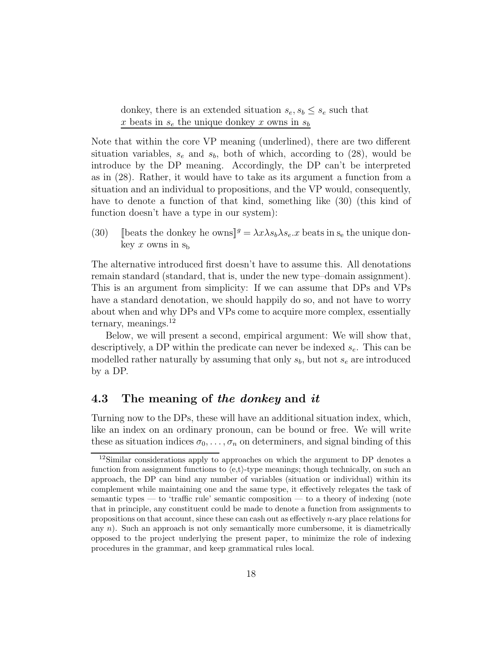donkey, there is an extended situation  $s_e, s_b \leq s_e$  such that x beats in  $s_e$  the unique donkey x owns in  $s_b$ 

Note that within the core VP meaning (underlined), there are two different situation variables,  $s_e$  and  $s_b$ , both of which, according to (28), would be introduce by the DP meaning. Accordingly, the DP can't be interpreted as in (28). Rather, it would have to take as its argument a function from a situation and an individual to propositions, and the VP would, consequently, have to denote a function of that kind, something like (30) (this kind of function doesn't have a type in our system):

(30) [beats the donkey he owns]<sup>g</sup> =  $\lambda x \lambda s_b \lambda s_e x$  beats in s<sub>e</sub> the unique donkey x owns in  $s<sub>b</sub>$ 

The alternative introduced first doesn't have to assume this. All denotations remain standard (standard, that is, under the new type–domain assignment). This is an argument from simplicity: If we can assume that DPs and VPs have a standard denotation, we should happily do so, and not have to worry about when and why DPs and VPs come to acquire more complex, essentially ternary, meanings. $^{12}$ 

Below, we will present a second, empirical argument: We will show that, descriptively, a DP within the predicate can never be indexed  $s_e$ . This can be modelled rather naturally by assuming that only  $s_b$ , but not  $s_e$  are introduced by a DP.

#### 4.3 The meaning of the donkey and it

Turning now to the DPs, these will have an additional situation index, which, like an index on an ordinary pronoun, can be bound or free. We will write these as situation indices  $\sigma_0, \ldots, \sigma_n$  on determiners, and signal binding of this

<sup>&</sup>lt;sup>12</sup>Similar considerations apply to approaches on which the argument to DP denotes a function from assignment functions to  $\langle e,t\rangle$ -type meanings; though technically, on such an approach, the DP can bind any number of variables (situation or individual) within its complement while maintaining one and the same type, it effectively relegates the task of semantic types — to 'traffic rule' semantic composition — to a theory of indexing (note that in principle, any constituent could be made to denote a function from assignments to propositions on that account, since these can cash out as effectively n-ary place relations for any  $n$ ). Such an approach is not only semantically more cumbersome, it is diametrically opposed to the project underlying the present paper, to minimize the role of indexing procedures in the grammar, and keep grammatical rules local.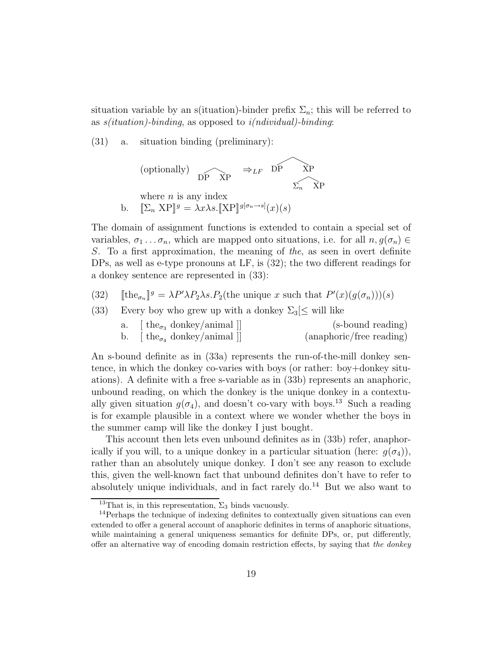situation variable by an s(ituation)-binder prefix  $\Sigma_n$ ; this will be referred to as  $s(ituation)$ -binding, as opposed to  $i(ndividual)$ -binding:

(31) a. situation binding (preliminary):



b. 
$$
\mathbb{E}_n \mathbf{X} P \mathbf{y} = \lambda x \lambda s. \mathbb{E} \mathbf{X} P \mathbf{y}^{[g(n) \to s]}(x)(s)
$$

The domain of assignment functions is extended to contain a special set of variables,  $\sigma_1 \ldots \sigma_n$ , which are mapped onto situations, i.e. for all  $n, g(\sigma_n) \in$ S. To a first approximation, the meaning of the, as seen in overt definite DPs, as well as e-type pronouns at LF, is (32); the two different readings for a donkey sentence are represented in (33):

- (32) [ $\text{the}_{\sigma_n}$ ] $g = \lambda P' \lambda P_2 \lambda s \cdot P_2(\text{the unique } x \text{ such that } P'(x)(g(\sigma_n)))(s)$
- (33) Every boy who grew up with a donkey  $\Sigma_3 \leq$  will like

| a. | $\lceil \text{the}_{\sigma_3} \text{ donkey/animal} \rceil$        | (s-bound reading)        |
|----|--------------------------------------------------------------------|--------------------------|
| b. | $\lceil \text{the}_{\sigma_4} \text{ donkey/animal} \rceil \rceil$ | (anaphoric/free reading) |

An s-bound definite as in (33a) represents the run-of-the-mill donkey sentence, in which the donkey co-varies with boys (or rather: boy+donkey situations). A definite with a free s-variable as in (33b) represents an anaphoric, unbound reading, on which the donkey is the unique donkey in a contextually given situation  $g(\sigma_4)$ , and doesn't co-vary with boys.<sup>13</sup> Such a reading is for example plausible in a context where we wonder whether the boys in the summer camp will like the donkey I just bought.

This account then lets even unbound definites as in (33b) refer, anaphorically if you will, to a unique donkey in a particular situation (here:  $g(\sigma_4)$ ), rather than an absolutely unique donkey. I don't see any reason to exclude this, given the well-known fact that unbound definites don't have to refer to absolutely unique individuals, and in fact rarely  $d_0$ .<sup>14</sup> But we also want to

<sup>&</sup>lt;sup>13</sup>That is, in this representation,  $\Sigma_3$  binds vacuously.

<sup>&</sup>lt;sup>14</sup>Perhaps the technique of indexing definites to contextually given situations can even extended to offer a general account of anaphoric definites in terms of anaphoric situations, while maintaining a general uniqueness semantics for definite DPs, or, put differently, offer an alternative way of encoding domain restriction effects, by saying that the donkey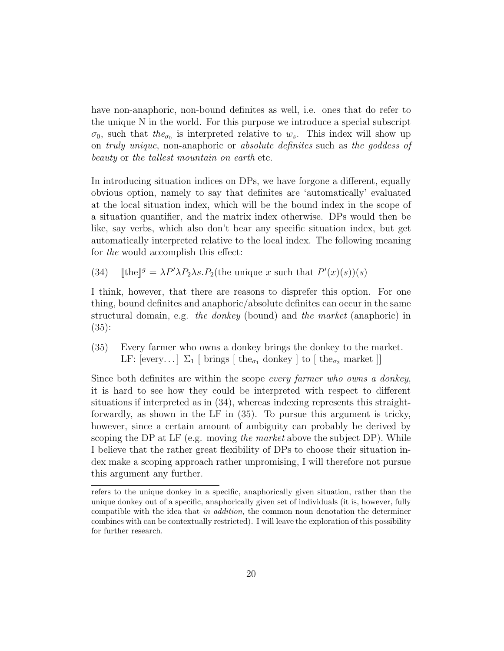have non-anaphoric, non-bound definites as well, i.e. ones that do refer to the unique N in the world. For this purpose we introduce a special subscript  $\sigma_0$ , such that the<sub> $\sigma_0$ </sub> is interpreted relative to  $w_s$ . This index will show up on truly unique, non-anaphoric or absolute definites such as the goddess of beauty or the tallest mountain on earth etc.

In introducing situation indices on DPs, we have forgone a different, equally obvious option, namely to say that definites are 'automatically' evaluated at the local situation index, which will be the bound index in the scope of a situation quantifier, and the matrix index otherwise. DPs would then be like, say verbs, which also don't bear any specific situation index, but get automatically interpreted relative to the local index. The following meaning for the would accomplish this effect:

(34) [the  $\int g = \lambda P' \lambda P_2 \lambda s P_2$  (the unique x such that  $P'(x)(s)(s)$ 

I think, however, that there are reasons to disprefer this option. For one thing, bound definites and anaphoric/absolute definites can occur in the same structural domain, e.g. the donkey (bound) and the market (anaphoric) in (35):

(35) Every farmer who owns a donkey brings the donkey to the market. LF: [every...]  $\Sigma_1$  [ brings [ the<sub> $\sigma_1$ </sub> donkey ] to [ the<sub> $\sigma_2$ </sub> market ]]

Since both definites are within the scope every farmer who owns a donkey, it is hard to see how they could be interpreted with respect to different situations if interpreted as in (34), whereas indexing represents this straightforwardly, as shown in the LF in (35). To pursue this argument is tricky, however, since a certain amount of ambiguity can probably be derived by scoping the DP at LF (e.g. moving the market above the subject DP). While I believe that the rather great flexibility of DPs to choose their situation index make a scoping approach rather unpromising, I will therefore not pursue this argument any further.

refers to the unique donkey in a specific, anaphorically given situation, rather than the unique donkey out of a specific, anaphorically given set of individuals (it is, however, fully compatible with the idea that in addition, the common noun denotation the determiner combines with can be contextually restricted). I will leave the exploration of this possibility for further research.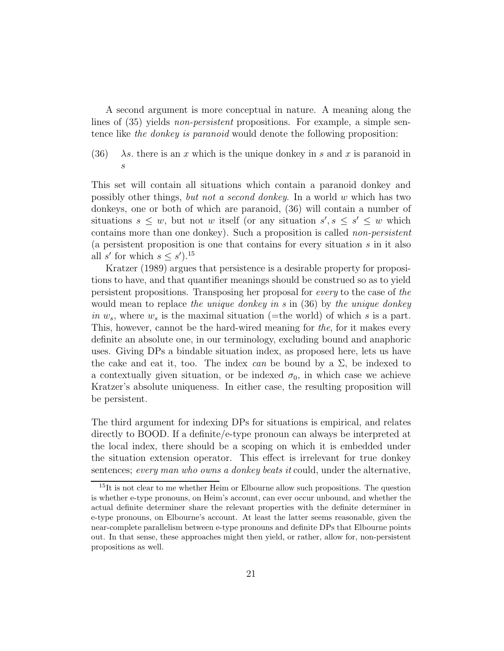A second argument is more conceptual in nature. A meaning along the lines of  $(35)$  yields *non-persistent* propositions. For example, a simple sentence like the donkey is paranoid would denote the following proposition:

(36)  $\lambda$ s. there is an x which is the unique donkey in s and x is paranoid in s

This set will contain all situations which contain a paranoid donkey and possibly other things, but not a second donkey. In a world w which has two donkeys, one or both of which are paranoid, (36) will contain a number of situations  $s \leq w$ , but not w itself (or any situation  $s', s \leq s' \leq w$  which contains more than one donkey). Such a proposition is called non-persistent (a persistent proposition is one that contains for every situation s in it also all s' for which  $s \leq s'$ ).<sup>15</sup>

Kratzer (1989) argues that persistence is a desirable property for propositions to have, and that quantifier meanings should be construed so as to yield persistent propositions. Transposing her proposal for every to the case of the would mean to replace the unique donkey in s in  $(36)$  by the unique donkey in  $w_s$ , where  $w_s$  is the maximal situation (=the world) of which s is a part. This, however, cannot be the hard-wired meaning for the, for it makes every definite an absolute one, in our terminology, excluding bound and anaphoric uses. Giving DPs a bindable situation index, as proposed here, lets us have the cake and eat it, too. The index can be bound by a  $\Sigma$ , be indexed to a contextually given situation, or be indexed  $\sigma_0$ , in which case we achieve Kratzer's absolute uniqueness. In either case, the resulting proposition will be persistent.

The third argument for indexing DPs for situations is empirical, and relates directly to BOOD. If a definite/e-type pronoun can always be interpreted at the local index, there should be a scoping on which it is embedded under the situation extension operator. This effect is irrelevant for true donkey sentences; every man who owns a donkey beats it could, under the alternative,

<sup>&</sup>lt;sup>15</sup>It is not clear to me whether Heim or Elbourne allow such propositions. The question is whether e-type pronouns, on Heim's account, can ever occur unbound, and whether the actual definite determiner share the relevant properties with the definite determiner in e-type pronouns, on Elbourne's account. At least the latter seems reasonable, given the near-complete parallelism between e-type pronouns and definite DPs that Elbourne points out. In that sense, these approaches might then yield, or rather, allow for, non-persistent propositions as well.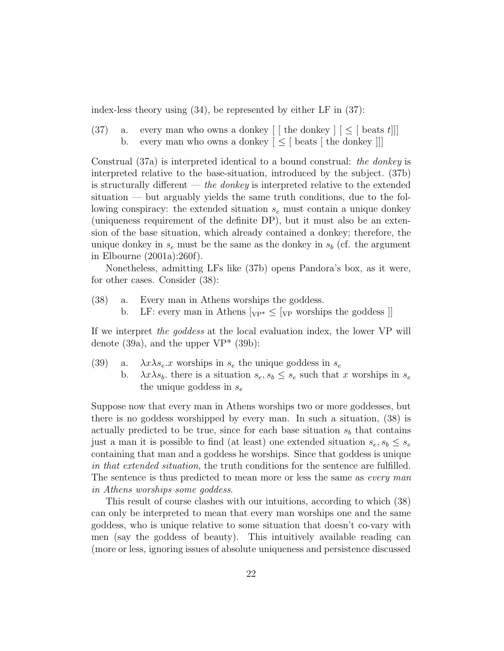index-less theory using (34), be represented by either LF in (37):

(37) a. every man who owns a donkey  $\left[ \begin{array}{cc} \end{array} \right]$  [  $\leq$  [ beats t]] b. every man who owns a donkey  $\leq$  [ beats [ the donkey ]]]

Construal (37a) is interpreted identical to a bound construal: the donkey is interpreted relative to the base-situation, introduced by the subject. (37b) is structurally different — the donkey is interpreted relative to the extended situation — but arguably yields the same truth conditions, due to the following conspiracy: the extended situation  $s_e$  must contain a unique donkey (uniqueness requirement of the definite DP), but it must also be an extension of the base situation, which already contained a donkey; therefore, the unique donkey in  $s_e$  must be the same as the donkey in  $s_b$  (cf. the argument in Elbourne (2001a):260f).

Nonetheless, admitting LFs like (37b) opens Pandora's box, as it were, for other cases. Consider (38):

- (38) a. Every man in Athens worships the goddess.
	- b. LF: every man in Athens  $[\nabla P^* \leq [\nabla P^*]$  worships the goddess  $\mathcal{C}$

If we interpret the goddess at the local evaluation index, the lower VP will denote (39a), and the upper  $VP^*$  (39b):

(39) a.  $\lambda x \lambda s_e x$  worships in  $s_e$  the unique goddess in  $s_e$ b.  $\lambda x \lambda s_b$ , there is a situation  $s_e, s_b \leq s_e$  such that x worships in  $s_e$ the unique goddess in  $s_e$ 

Suppose now that every man in Athens worships two or more goddesses, but there is no goddess worshipped by every man. In such a situation, (38) is actually predicted to be true, since for each base situation  $s<sub>b</sub>$  that contains just a man it is possible to find (at least) one extended situation  $s_e, s_b \leq s_e$ containing that man and a goddess he worships. Since that goddess is unique in that extended situation, the truth conditions for the sentence are fulfilled. The sentence is thus predicted to mean more or less the same as *every man* in Athens worships some goddess.

This result of course clashes with our intuitions, according to which (38) can only be interpreted to mean that every man worships one and the same goddess, who is unique relative to some situation that doesn't co-vary with men (say the goddess of beauty). This intuitively available reading can (more or less, ignoring issues of absolute uniqueness and persistence discussed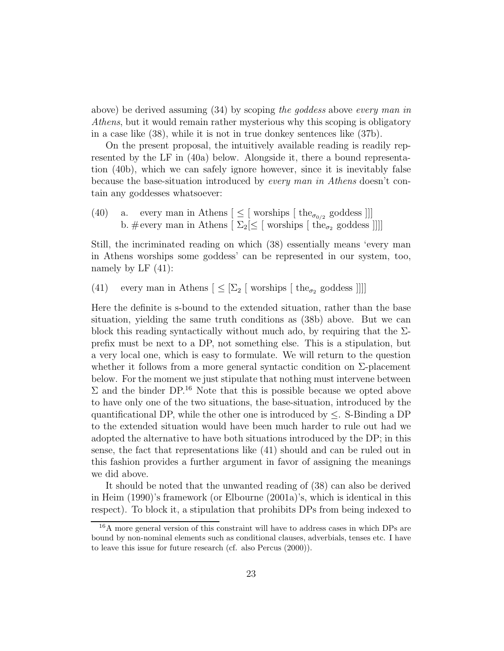above) be derived assuming (34) by scoping the goddess above every man in Athens, but it would remain rather mysterious why this scoping is obligatory in a case like (38), while it is not in true donkey sentences like (37b).

On the present proposal, the intuitively available reading is readily represented by the LF in (40a) below. Alongside it, there a bound representation (40b), which we can safely ignore however, since it is inevitably false because the base-situation introduced by every man in Athens doesn't contain any goddesses whatsoever:

(40) a. every man in Athens  $[\,\leq\,[\,\text{works}[\,\text{the}_{\sigma_{0/2}}\,\text{gooddess}]]]$ b. #every man in Athens  $[\ \Sigma_2[\leq]$  worships  $[\ \text{the}_{\sigma_2} \text{ gooddess}]]]$ 

Still, the incriminated reading on which (38) essentially means 'every man in Athens worships some goddess' can be represented in our system, too, namely by LF  $(41)$ :

(41) every man in Athens  $[\leq \lbrack \Sigma_2 \rbrack$  worships  $[\text{ the}_{\sigma_2} \text{ goodness }]]]$ 

Here the definite is s-bound to the extended situation, rather than the base situation, yielding the same truth conditions as (38b) above. But we can block this reading syntactically without much ado, by requiring that the  $\Sigma$ prefix must be next to a DP, not something else. This is a stipulation, but a very local one, which is easy to formulate. We will return to the question whether it follows from a more general syntactic condition on  $\Sigma$ -placement below. For the moment we just stipulate that nothing must intervene between  $\Sigma$  and the binder DP.<sup>16</sup> Note that this is possible because we opted above to have only one of the two situations, the base-situation, introduced by the quantificational DP, while the other one is introduced by  $\leq$ . S-Binding a DP to the extended situation would have been much harder to rule out had we adopted the alternative to have both situations introduced by the DP; in this sense, the fact that representations like (41) should and can be ruled out in this fashion provides a further argument in favor of assigning the meanings we did above.

It should be noted that the unwanted reading of (38) can also be derived in Heim (1990)'s framework (or Elbourne (2001a)'s, which is identical in this respect). To block it, a stipulation that prohibits DPs from being indexed to

<sup>16</sup>A more general version of this constraint will have to address cases in which DPs are bound by non-nominal elements such as conditional clauses, adverbials, tenses etc. I have to leave this issue for future research (cf. also Percus (2000)).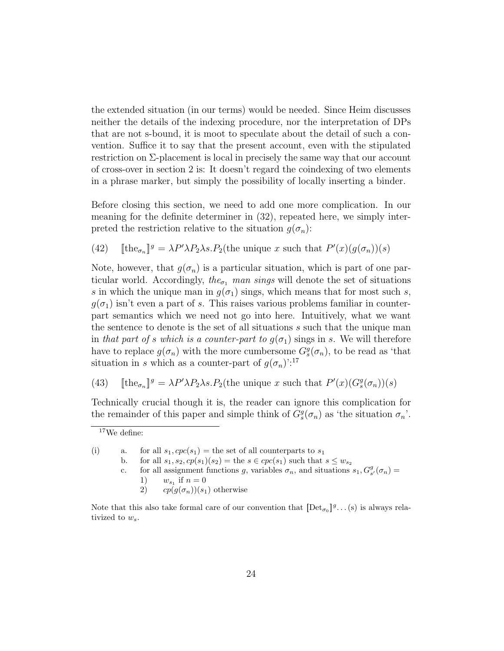the extended situation (in our terms) would be needed. Since Heim discusses neither the details of the indexing procedure, nor the interpretation of DPs that are not s-bound, it is moot to speculate about the detail of such a convention. Suffice it to say that the present account, even with the stipulated restriction on Σ-placement is local in precisely the same way that our account of cross-over in section 2 is: It doesn't regard the coindexing of two elements in a phrase marker, but simply the possibility of locally inserting a binder.

Before closing this section, we need to add one more complication. In our meaning for the definite determiner in (32), repeated here, we simply interpreted the restriction relative to the situation  $g(\sigma_n)$ :

(42) [the<sub> $\sigma_n$ </sub>]<sup>g</sup> =  $\lambda P' \lambda P_2 \lambda s P_2$ (the unique x such that  $P'(x)(g(\sigma_n))(s)$ 

Note, however, that  $g(\sigma_n)$  is a particular situation, which is part of one particular world. Accordingly, the<sub> $\sigma_1$ </sub> man sings will denote the set of situations s in which the unique man in  $q(\sigma_1)$  sings, which means that for most such s,  $g(\sigma_1)$  isn't even a part of s. This raises various problems familiar in counterpart semantics which we need not go into here. Intuitively, what we want the sentence to denote is the set of all situations s such that the unique man in that part of s which is a counter-part to  $q(\sigma_1)$  sings in s. We will therefore have to replace  $g(\sigma_n)$  with the more cumbersome  $G_s^g(\sigma_n)$ , to be read as 'that situation in s which as a counter-part of  $g(\sigma_n)$ <sup>':17</sup>

(43) [ $\text{the}_{\sigma_n}$ ]<sup>g</sup> =  $\lambda P' \lambda P_2 \lambda s \cdot P_2$ (the unique x such that  $P'(x) (G_s^g(\sigma_n))(s)$ 

Technically crucial though it is, the reader can ignore this complication for the remainder of this paper and simple think of  $G_s^g(\sigma_n)$  as 'the situation  $\sigma_n$ '.

c. for all assignment functions g, variables  $\sigma_n$ , and situations  $s_1, G_{s'}^g(\sigma_n) =$ 1)  $w_{s_1}$  if  $n = 0$ 

2)  $cp(g(\sigma_n))(s_1)$  otherwise

<sup>17</sup>We define:

<sup>(</sup>i) a. for all  $s_1, cpc(s_1)$  = the set of all counterparts to  $s_1$ 

b. for all  $s_1, s_2, cp(s_1)(s_2) =$  the  $s \in cyc(s_1)$  such that  $s \leq w_{s_2}$ 

Note that this also take formal care of our convention that  $[\text{Det}_{\sigma_0}]^g \dots (s)$  is always relativized to  $w_s$ .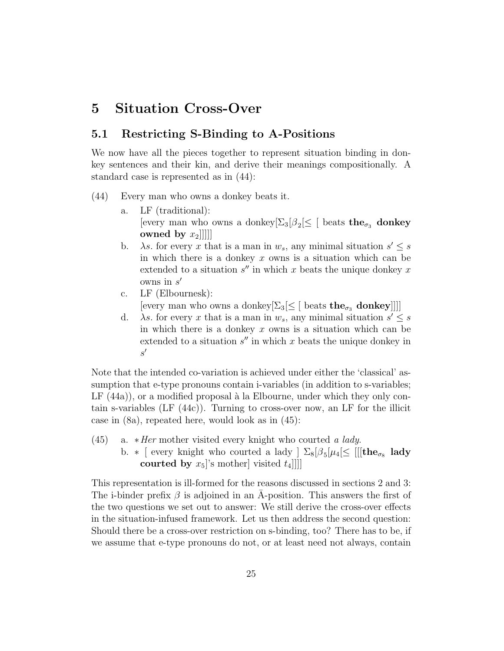### 5 Situation Cross-Over

#### 5.1 Restricting S-Binding to A-Positions

We now have all the pieces together to represent situation binding in donkey sentences and their kin, and derive their meanings compositionally. A standard case is represented as in (44):

- (44) Every man who owns a donkey beats it.
	- a. LF (traditional): [every man who owns a donkey $\left[\Sigma_3[\beta_2] \leq \right[$  beats the<sub> $\sigma_3$ </sub> donkey owned by  $x_2$ ]]]]
	- b.  $\lambda s$ . for every x that is a man in  $w_s$ , any minimal situation  $s' \leq s$ in which there is a donkey  $x$  owns is a situation which can be extended to a situation  $s''$  in which x beats the unique donkey x owns in  $s'$
	- c. LF (Elbournesk): [every man who owns a donkey $[\Sigma_3] \leq [$  beats the<sub> $\sigma_3$ </sub> donkey]]]]
	- d.  $\lambda s$ . for every x that is a man in  $w_s$ , any minimal situation  $s' \leq s$ in which there is a donkey  $x$  owns is a situation which can be extended to a situation  $s''$  in which x beats the unique donkey in  $s'$

Note that the intended co-variation is achieved under either the 'classical' assumption that e-type pronouns contain i-variables (in addition to s-variables; LF  $(44a)$ , or a modified proposal à la Elbourne, under which they only contain s-variables (LF (44c)). Turning to cross-over now, an LF for the illicit case in (8a), repeated here, would look as in (45):

- (45) a.  $*Her$  mother visited every knight who courted a lady.
	- b.  $*$  [ every knight who courted a lady ]  $\Sigma_8[\beta_5[\mu_4] \leq [[[\text{the}_{\sigma_8} \text{ lady}$ courted by  $x_5$ 's mother] visited  $t_4$ ]]]

This representation is ill-formed for the reasons discussed in sections 2 and 3: The i-binder prefix  $\beta$  is adjoined in an A-position. This answers the first of the two questions we set out to answer: We still derive the cross-over effects in the situation-infused framework. Let us then address the second question: Should there be a cross-over restriction on s-binding, too? There has to be, if we assume that e-type pronouns do not, or at least need not always, contain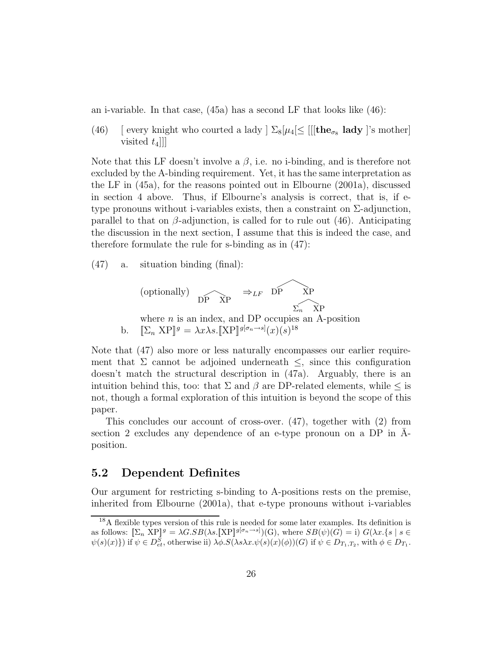an i-variable. In that case, (45a) has a second LF that looks like (46):

(46) [ every knight who courted a lady  $\sum_{s} \lbrack \mu_4 \lbrack \leq \lbrack \lbrack \lbrack \mathbf{the}_{\sigma_8} \mathbf{ lady} \rbrack$ 's mother] visited  $t_4$ ]]

Note that this LF doesn't involve a  $\beta$ , i.e. no i-binding, and is therefore not excluded by the A-binding requirement. Yet, it has the same interpretation as the LF in (45a), for the reasons pointed out in Elbourne (2001a), discussed in section 4 above. Thus, if Elbourne's analysis is correct, that is, if etype pronouns without i-variables exists, then a constraint on  $\Sigma$ -adjunction, parallel to that on  $\beta$ -adjunction, is called for to rule out (46). Anticipating the discussion in the next section, I assume that this is indeed the case, and therefore formulate the rule for s-binding as in (47):

(47) a. situation binding (final):



Note that (47) also more or less naturally encompasses our earlier requirement that  $\Sigma$  cannot be adjoined underneath  $\leq$ , since this configuration doesn't match the structural description in (47a). Arguably, there is an intuition behind this, too: that  $\Sigma$  and  $\beta$  are DP-related elements, while  $\leq$  is not, though a formal exploration of this intuition is beyond the scope of this paper.

This concludes our account of cross-over. (47), together with (2) from section 2 excludes any dependence of an e-type pronoun on a  $DP$  in Aposition.

#### 5.2 Dependent Definites

Our argument for restricting s-binding to A-positions rests on the premise, inherited from Elbourne (2001a), that e-type pronouns without i-variables

<sup>18</sup>A flexible types version of this rule is needed for some later examples. Its definition is as follows:  $[\Sigma_n \text{ XP}]^g = \lambda G.SB(\lambda s.[\text{XP}]^{g[\sigma_n \to s]})(G)$ , where  $SB(\psi)(G) = i$ )  $G(\lambda x.\{s \mid s \in S\})$  $\psi(s)(x)$ }) if  $\psi \in D^S_{et}$ , otherwise ii)  $\lambda \phi.S(\lambda s\lambda x.\psi(s)(x)(\phi))(G)$  if  $\psi \in D_{T_1,T_2}$ , with  $\phi \in D_{T_1}$ .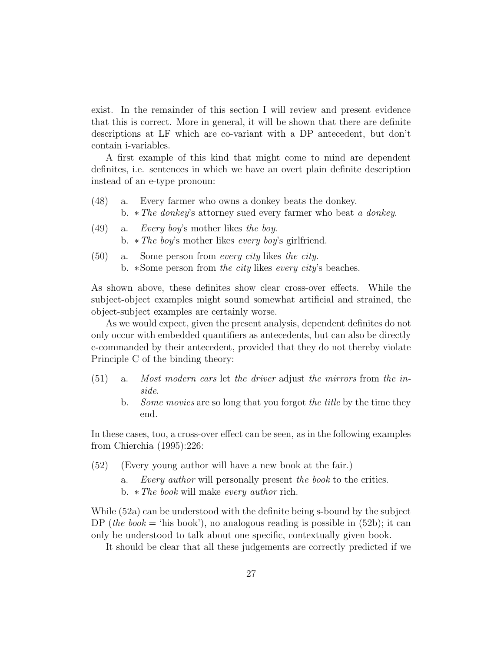exist. In the remainder of this section I will review and present evidence that this is correct. More in general, it will be shown that there are definite descriptions at LF which are co-variant with a DP antecedent, but don't contain i-variables.

A first example of this kind that might come to mind are dependent definites, i.e. sentences in which we have an overt plain definite description instead of an e-type pronoun:

- (48) a. Every farmer who owns a donkey beats the donkey. b. ∗The donkey's attorney sued every farmer who beat a donkey.
- (49) a. Every boy's mother likes the boy. b. ∗The boy's mother likes every boy's girlfriend.
- (50) a. Some person from every city likes the city. b. ∗Some person from the city likes every city's beaches.

As shown above, these definites show clear cross-over effects. While the subject-object examples might sound somewhat artificial and strained, the object-subject examples are certainly worse.

As we would expect, given the present analysis, dependent definites do not only occur with embedded quantifiers as antecedents, but can also be directly c-commanded by their antecedent, provided that they do not thereby violate Principle C of the binding theory:

- (51) a. Most modern cars let the driver adjust the mirrors from the inside.
	- b. Some movies are so long that you forgot the title by the time they end.

In these cases, too, a cross-over effect can be seen, as in the following examples from Chierchia (1995):226:

- (52) (Every young author will have a new book at the fair.)
	- a. Every author will personally present the book to the critics.
	- b. ∗The book will make every author rich.

While (52a) can be understood with the definite being s-bound by the subject DP (the book  $=$  'his book'), no analogous reading is possible in (52b); it can only be understood to talk about one specific, contextually given book.

It should be clear that all these judgements are correctly predicted if we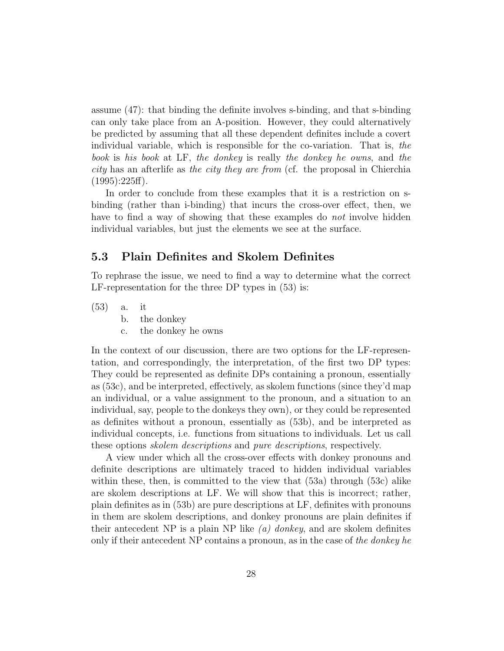assume (47): that binding the definite involves s-binding, and that s-binding can only take place from an A-position. However, they could alternatively be predicted by assuming that all these dependent definites include a covert individual variable, which is responsible for the co-variation. That is, the book is his book at LF, the donkey is really the donkey he owns, and the city has an afterlife as the city they are from (cf. the proposal in Chierchia  $(1995):225ff$ ).

In order to conclude from these examples that it is a restriction on sbinding (rather than i-binding) that incurs the cross-over effect, then, we have to find a way of showing that these examples do *not* involve hidden individual variables, but just the elements we see at the surface.

#### 5.3 Plain Definites and Skolem Definites

To rephrase the issue, we need to find a way to determine what the correct LF-representation for the three DP types in (53) is:

- (53) a. it
	- b. the donkey
	- c. the donkey he owns

In the context of our discussion, there are two options for the LF-representation, and correspondingly, the interpretation, of the first two DP types: They could be represented as definite DPs containing a pronoun, essentially as (53c), and be interpreted, effectively, as skolem functions (since they'd map an individual, or a value assignment to the pronoun, and a situation to an individual, say, people to the donkeys they own), or they could be represented as definites without a pronoun, essentially as (53b), and be interpreted as individual concepts, i.e. functions from situations to individuals. Let us call these options skolem descriptions and pure descriptions, respectively.

A view under which all the cross-over effects with donkey pronouns and definite descriptions are ultimately traced to hidden individual variables within these, then, is committed to the view that (53a) through (53c) alike are skolem descriptions at LF. We will show that this is incorrect; rather, plain definites as in (53b) are pure descriptions at LF, definites with pronouns in them are skolem descriptions, and donkey pronouns are plain definites if their antecedent NP is a plain NP like  $(a)$  donkey, and are skolem definites only if their antecedent NP contains a pronoun, as in the case of the donkey he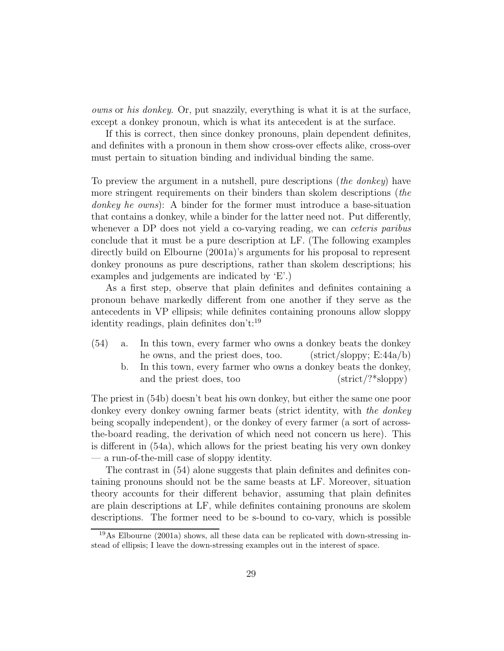owns or his donkey. Or, put snazzily, everything is what it is at the surface, except a donkey pronoun, which is what its antecedent is at the surface.

If this is correct, then since donkey pronouns, plain dependent definites, and definites with a pronoun in them show cross-over effects alike, cross-over must pertain to situation binding and individual binding the same.

To preview the argument in a nutshell, pure descriptions (the donkey) have more stringent requirements on their binders than skolem descriptions (the donkey he owns): A binder for the former must introduce a base-situation that contains a donkey, while a binder for the latter need not. Put differently, whenever a DP does not yield a co-varying reading, we can *ceteris paribus* conclude that it must be a pure description at LF. (The following examples directly build on Elbourne (2001a)'s arguments for his proposal to represent donkey pronouns as pure descriptions, rather than skolem descriptions; his examples and judgements are indicated by 'E'.)

As a first step, observe that plain definites and definites containing a pronoun behave markedly different from one another if they serve as the antecedents in VP ellipsis; while definites containing pronouns allow sloppy identity readings, plain definites don't:<sup>19</sup>

- (54) a. In this town, every farmer who owns a donkey beats the donkey he owns, and the priest does, too. (strict/sloppy;  $E:44a/b$ )
	- b. In this town, every farmer who owns a donkey beats the donkey, and the priest does, too  $(\text{strict}/?*\text{sloppy})$

The priest in (54b) doesn't beat his own donkey, but either the same one poor donkey every donkey owning farmer beats (strict identity, with the donkey being scopally independent), or the donkey of every farmer (a sort of acrossthe-board reading, the derivation of which need not concern us here). This is different in (54a), which allows for the priest beating his very own donkey — a run-of-the-mill case of sloppy identity.

The contrast in (54) alone suggests that plain definites and definites containing pronouns should not be the same beasts at LF. Moreover, situation theory accounts for their different behavior, assuming that plain definites are plain descriptions at LF, while definites containing pronouns are skolem descriptions. The former need to be s-bound to co-vary, which is possible

<sup>19</sup>As Elbourne (2001a) shows, all these data can be replicated with down-stressing instead of ellipsis; I leave the down-stressing examples out in the interest of space.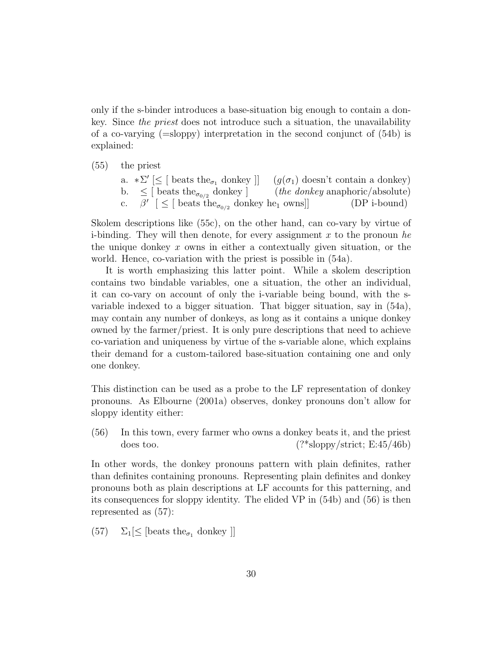only if the s-binder introduces a base-situation big enough to contain a donkey. Since the priest does not introduce such a situation, the unavailability of a co-varying  $(=\text{sloppy})$  interpretation in the second conjunct of  $(54b)$  is explained:

(55) the priest

a.  $\ast \Sigma' \leq [\text{ beats the}_{\sigma_1} \text{ donkey}]] \quad (g(\sigma_1) \text{ doesn't contain a donkey})$ b.  $\leq$  [ beats the<sub> $\sigma_{0/2}$ </sub> donkey ] (the donkey anaphoric/absolute) c.  $\beta'$  [  $\leq$  [ beats the<sub> $\sigma_{0/2}$ </sub> donkey he<sub>1</sub> owns]] (DP i-bound)

Skolem descriptions like (55c), on the other hand, can co-vary by virtue of i-binding. They will then denote, for every assignment x to the pronoun he the unique donkey  $x$  owns in either a contextually given situation, or the world. Hence, co-variation with the priest is possible in (54a).

It is worth emphasizing this latter point. While a skolem description contains two bindable variables, one a situation, the other an individual, it can co-vary on account of only the i-variable being bound, with the svariable indexed to a bigger situation. That bigger situation, say in (54a), may contain any number of donkeys, as long as it contains a unique donkey owned by the farmer/priest. It is only pure descriptions that need to achieve co-variation and uniqueness by virtue of the s-variable alone, which explains their demand for a custom-tailored base-situation containing one and only one donkey.

This distinction can be used as a probe to the LF representation of donkey pronouns. As Elbourne (2001a) observes, donkey pronouns don't allow for sloppy identity either:

(56) In this town, every farmer who owns a donkey beats it, and the priest does too.  $(?*sloppv/striet; E:45/46b)$ 

In other words, the donkey pronouns pattern with plain definites, rather than definites containing pronouns. Representing plain definites and donkey pronouns both as plain descriptions at LF accounts for this patterning, and its consequences for sloppy identity. The elided VP in (54b) and (56) is then represented as (57):

(57)  $\Sigma_1[\leq]$  [beats the<sub> $\sigma_1$ </sub> donkey]]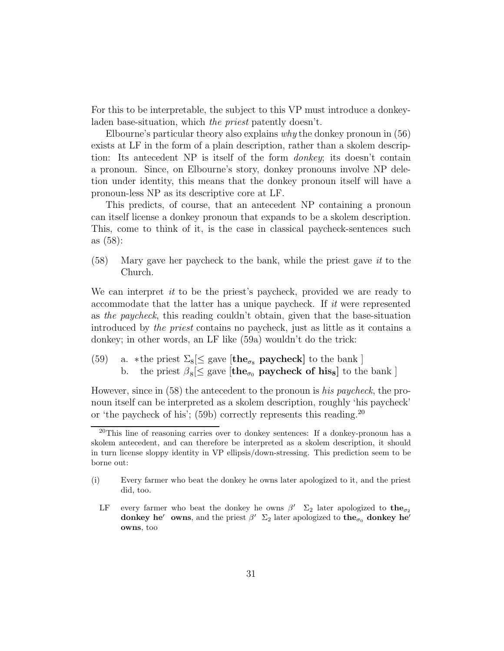For this to be interpretable, the subject to this VP must introduce a donkeyladen base-situation, which the priest patently doesn't.

Elbourne's particular theory also explains why the donkey pronoun in (56) exists at LF in the form of a plain description, rather than a skolem description: Its antecedent NP is itself of the form donkey; its doesn't contain a pronoun. Since, on Elbourne's story, donkey pronouns involve NP deletion under identity, this means that the donkey pronoun itself will have a pronoun-less NP as its descriptive core at LF.

This predicts, of course, that an antecedent NP containing a pronoun can itself license a donkey pronoun that expands to be a skolem description. This, come to think of it, is the case in classical paycheck-sentences such as (58):

(58) Mary gave her paycheck to the bank, while the priest gave it to the Church.

We can interpret *it* to be the priest's paycheck, provided we are ready to accommodate that the latter has a unique paycheck. If it were represented as the paycheck, this reading couldn't obtain, given that the base-situation introduced by the priest contains no paycheck, just as little as it contains a donkey; in other words, an LF like (59a) wouldn't do the trick:

(59) a. \*the priest  $\Sigma_8 \leq$  gave  $[\text{the}_{\sigma_8} \text{ paycheck}]$  to the bank ] b. the priest  $\beta_8 \leq$  gave  $[\text{the}_{\sigma_0}$  **paycheck of his<sub>8</sub>** to the bank ]

However, since in (58) the antecedent to the pronoun is his paycheck, the pronoun itself can be interpreted as a skolem description, roughly 'his paycheck' or 'the paycheck of his'; (59b) correctly represents this reading.<sup>20</sup>

<sup>20</sup>This line of reasoning carries over to donkey sentences: If a donkey-pronoun has a skolem antecedent, and can therefore be interpreted as a skolem description, it should in turn license sloppy identity in VP ellipsis/down-stressing. This prediction seem to be borne out:

<sup>(</sup>i) Every farmer who beat the donkey he owns later apologized to it, and the priest did, too.

LF every farmer who beat the donkey he owns  $\beta'$   $\Sigma_2$  later apologized to the<sub> $\sigma_2$ </sub> donkey he<sup> $\prime$ </sup> owns, and the priest  $\beta'$   $\Sigma_2$  later apologized to the<sub> $\sigma_0$ </sub> donkey he<sup> $\prime$ </sup> owns, too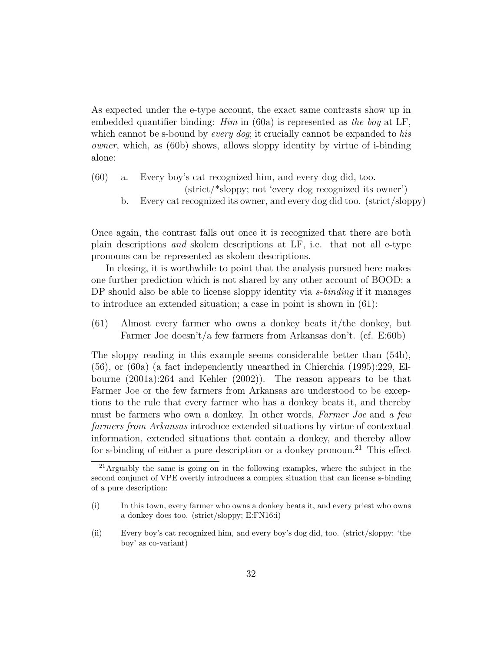As expected under the e-type account, the exact same contrasts show up in embedded quantifier binding: *Him* in (60a) is represented as the boy at LF, which cannot be s-bound by *every dog*; it crucially cannot be expanded to his owner, which, as (60b) shows, allows sloppy identity by virtue of i-binding alone:

- (60) a. Every boy's cat recognized him, and every dog did, too. (strict/\*sloppy; not 'every dog recognized its owner')
	- b. Every cat recognized its owner, and every dog did too. (strict/sloppy)

Once again, the contrast falls out once it is recognized that there are both plain descriptions and skolem descriptions at LF, i.e. that not all e-type pronouns can be represented as skolem descriptions.

In closing, it is worthwhile to point that the analysis pursued here makes one further prediction which is not shared by any other account of BOOD: a DP should also be able to license sloppy identity via *s-binding* if it manages to introduce an extended situation; a case in point is shown in (61):

(61) Almost every farmer who owns a donkey beats it/the donkey, but Farmer Joe doesn't/a few farmers from Arkansas don't. (cf. E:60b)

The sloppy reading in this example seems considerable better than (54b), (56), or (60a) (a fact independently unearthed in Chierchia (1995):229, Elbourne (2001a):264 and Kehler (2002)). The reason appears to be that Farmer Joe or the few farmers from Arkansas are understood to be exceptions to the rule that every farmer who has a donkey beats it, and thereby must be farmers who own a donkey. In other words, Farmer Joe and a few farmers from Arkansas introduce extended situations by virtue of contextual information, extended situations that contain a donkey, and thereby allow for s-binding of either a pure description or a donkey pronoun.<sup>21</sup> This effect

<sup>21</sup>Arguably the same is going on in the following examples, where the subject in the second conjunct of VPE overtly introduces a complex situation that can license s-binding of a pure description:

<sup>(</sup>i) In this town, every farmer who owns a donkey beats it, and every priest who owns a donkey does too. (strict/sloppy; E:FN16:i)

<sup>(</sup>ii) Every boy's cat recognized him, and every boy's dog did, too. (strict/sloppy: 'the boy' as co-variant)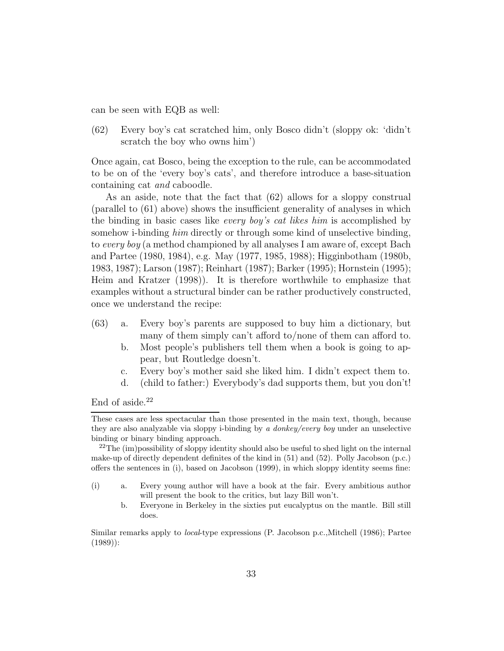can be seen with EQB as well:

(62) Every boy's cat scratched him, only Bosco didn't (sloppy ok: 'didn't scratch the boy who owns him')

Once again, cat Bosco, being the exception to the rule, can be accommodated to be on of the 'every boy's cats', and therefore introduce a base-situation containing cat and caboodle.

As an aside, note that the fact that (62) allows for a sloppy construal (parallel to (61) above) shows the insufficient generality of analyses in which the binding in basic cases like every boy's cat likes him is accomplished by somehow i-binding him directly or through some kind of unselective binding, to every boy (a method championed by all analyses I am aware of, except Bach and Partee (1980, 1984), e.g. May (1977, 1985, 1988); Higginbotham (1980b, 1983, 1987); Larson (1987); Reinhart (1987); Barker (1995); Hornstein (1995); Heim and Kratzer (1998)). It is therefore worthwhile to emphasize that examples without a structural binder can be rather productively constructed, once we understand the recipe:

- (63) a. Every boy's parents are supposed to buy him a dictionary, but many of them simply can't afford to/none of them can afford to.
	- b. Most people's publishers tell them when a book is going to appear, but Routledge doesn't.
	- c. Every boy's mother said she liked him. I didn't expect them to.
	- d. (child to father:) Everybody's dad supports them, but you don't!

End of aside.<sup>22</sup>

b. Everyone in Berkeley in the sixties put eucalyptus on the mantle. Bill still does.

Similar remarks apply to local-type expressions (P. Jacobson p.c.,Mitchell (1986); Partee (1989)):

These cases are less spectacular than those presented in the main text, though, because they are also analyzable via sloppy i-binding by  $a$  donkey/every boy under an unselective binding or binary binding approach.

 $^{22}$ The (im)possibility of sloppy identity should also be useful to shed light on the internal make-up of directly dependent definites of the kind in (51) and (52). Polly Jacobson (p.c.) offers the sentences in (i), based on Jacobson (1999), in which sloppy identity seems fine:

<sup>(</sup>i) a. Every young author will have a book at the fair. Every ambitious author will present the book to the critics, but lazy Bill won't.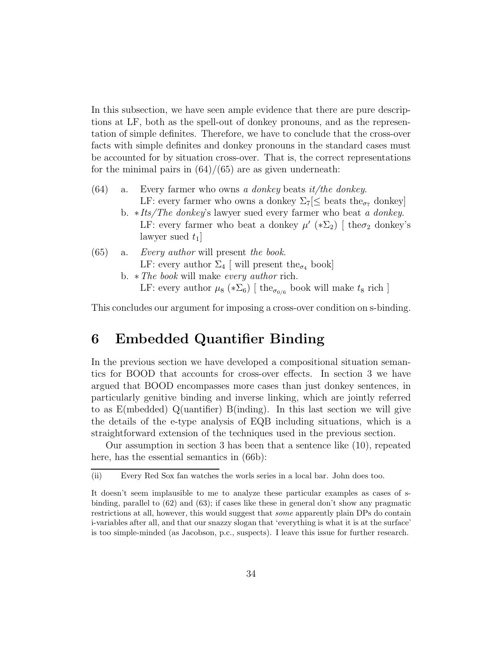In this subsection, we have seen ample evidence that there are pure descriptions at LF, both as the spell-out of donkey pronouns, and as the representation of simple definites. Therefore, we have to conclude that the cross-over facts with simple definites and donkey pronouns in the standard cases must be accounted for by situation cross-over. That is, the correct representations for the minimal pairs in  $(64)/(65)$  are as given underneath:

- $(64)$  a. Every farmer who owns a donkey beats it/the donkey. LF: every farmer who owns a donkey  $\Sigma_7 \leq$  beats the<sub> $\sigma_7$ </sub> donkey]
	- b. ∗Its/The donkey's lawyer sued every farmer who beat a donkey. LF: every farmer who beat a donkey  $\mu'$  (\* $\Sigma_2$ ) [the  $\sigma_2$  donkey's lawyer sued  $t_1$

#### (65) a. Every author will present the book. LF: every author  $\Sigma_4$  [ will present the<sub> $\sigma_4$ </sub> book] b.  $\ast$  The book will make every author rich.

LF: every author  $\mu_8$  (\* $\Sigma_6$ ) [ the<sub> $\sigma_{0/6}$ </sub> book will make  $t_8$  rich ]

This concludes our argument for imposing a cross-over condition on s-binding.

### 6 Embedded Quantifier Binding

In the previous section we have developed a compositional situation semantics for BOOD that accounts for cross-over effects. In section 3 we have argued that BOOD encompasses more cases than just donkey sentences, in particularly genitive binding and inverse linking, which are jointly referred to as E(mbedded) Q(uantifier) B(inding). In this last section we will give the details of the e-type analysis of EQB including situations, which is a straightforward extension of the techniques used in the previous section.

Our assumption in section 3 has been that a sentence like (10), repeated here, has the essential semantics in  $(66b)$ :

<sup>(</sup>ii) Every Red Sox fan watches the worls series in a local bar. John does too.

It doesn't seem implausible to me to analyze these particular examples as cases of sbinding, parallel to (62) and (63); if cases like these in general don't show any pragmatic restrictions at all, however, this would suggest that some apparently plain DPs do contain i-variables after all, and that our snazzy slogan that 'everything is what it is at the surface' is too simple-minded (as Jacobson, p.c., suspects). I leave this issue for further research.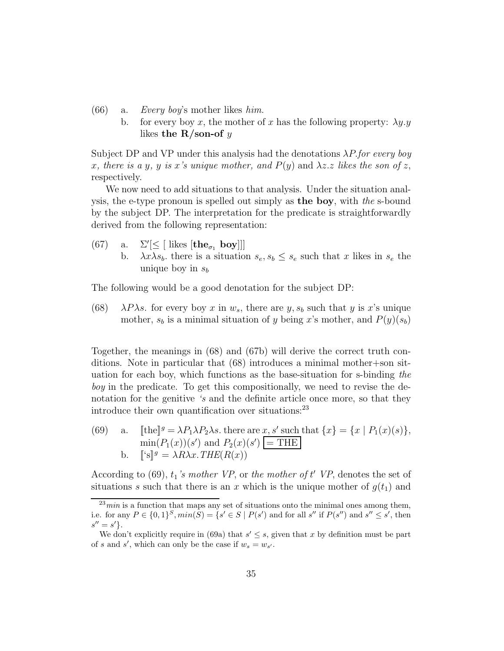- (66) a. Every boy's mother likes  $him.$ 
	- b. for every boy x, the mother of x has the following property:  $\lambda y.y$ likes the  $R/son$ -of y

Subject DP and VP under this analysis had the denotations  $\lambda P$  for every boy x, there is a y, y is x's unique mother, and  $P(y)$  and  $\lambda z. z$  likes the son of z, respectively.

We now need to add situations to that analysis. Under the situation analysis, the e-type pronoun is spelled out simply as the boy, with the s-bound by the subject DP. The interpretation for the predicate is straightforwardly derived from the following representation:

- (67) a.  $\Sigma'[\leq [$  likes  $[\mathbf{the}_{\sigma_1} \mathbf{ boy}]]]$ 
	- b.  $\lambda x \lambda s_b$ , there is a situation  $s_e, s_b \leq s_e$  such that x likes in  $s_e$  the unique boy in  $s<sub>b</sub>$

The following would be a good denotation for the subject DP:

(68)  $\lambda P \lambda s$ . for every boy x in  $w_s$ , there are y,  $s_b$  such that y is x's unique mother,  $s_b$  is a minimal situation of y being x's mother, and  $P(y)(s_b)$ 

Together, the meanings in (68) and (67b) will derive the correct truth conditions. Note in particular that (68) introduces a minimal mother+son situation for each boy, which functions as the base-situation for s-binding the boy in the predicate. To get this compositionally, we need to revise the denotation for the genitive 's and the definite article once more, so that they introduce their own quantification over situations:<sup>23</sup>

(69) a. [[the]<sup>g</sup> =  $\lambda P_1 \lambda P_2 \lambda s$ . there are x, s' such that  $\{x\} = \{x \mid P_1(x)(s)\},\$  $\min(P_1(x))(s')$  and  $P_2(x)(s') = \text{THE}$ b.  $[\S$ <sup>g</sup> =  $\lambda R \lambda x \cdot \text{THE}(R(x))$ 

According to (69),  $t_1$ 's mother VP, or the mother of  $t'$  VP, denotes the set of situations s such that there is an x which is the unique mother of  $g(t_1)$  and

 $^{23}min$  is a function that maps any set of situations onto the minimal ones among them, i.e. for any  $P \in \{0,1\}^S, min(S) = \{s' \in S \mid P(s') \text{ and for all } s'' \text{ if } P(s'') \text{ and } s'' \leq s' \text{, then }$  $s'' = s'$ .

We don't explicitly require in (69a) that  $s' \leq s$ , given that x by definition must be part of s and s', which can only be the case if  $w_s = w_{s'}$ .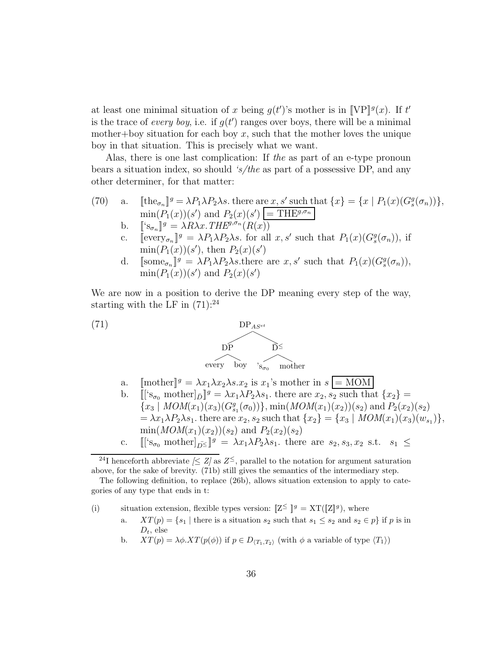at least one minimal situation of x being  $g(t')$ 's mother is in [VP]<sup>g</sup>(x). If t' is the trace of every boy, i.e. if  $g(t')$  ranges over boys, there will be a minimal mother+boy situation for each boy  $x$ , such that the mother loves the unique boy in that situation. This is precisely what we want.

Alas, there is one last complication: If the as part of an e-type pronoun bears a situation index, so should 's/the as part of a possessive DP, and any other determiner, for that matter:

- (70) a.  $[\![\text{the}_{\sigma_n}]\!]^g = \lambda P_1 \lambda P_2 \lambda s$ . there are  $x, s'$  such that  $\{x\} = \{x \mid P_1(x)(G_s^g(\sigma_n))\},$  $\min(P_1(x))(s')$  and  $P_2(x)(s') = \text{THE}^{g, \sigma_n}$ 
	- b.  $[\S_{\sigma_n}]^g = \lambda R \lambda x \cdot THE^{g,\sigma_n}(R(x))$
	- c.  $[\text{every}_{\sigma_n}]^g = \lambda P_1 \lambda P_2 \lambda s$ . for all  $x, s'$  such that  $P_1(x) (G_s^g(\sigma_n))$ , if  $min(P_1(x))(s')$ , then  $P_2(x)(s')$
	- d.  $[\text{some}_{\sigma_n}]^g = \lambda P_1 \lambda P_2 \lambda s.$  there are  $x, s'$  such that  $P_1(x)(G_s^g(\sigma_n)),$  $\min(P_1(x))(s')$  and  $P_2(x)(s')$

We are now in a position to derive the DP meaning every step of the way, starting with the LF in  $(71)$ :<sup>24</sup>



- a.  $[\text{mother}]^g = \lambda x_1 \lambda x_2 \lambda s \cdot x_2$  is  $x_1$ 's mother in  $s = \text{MOM}$
- b.  $[[^{\prime}S_{\sigma_0} \text{ mother}]_{\bar{D}}]^{g} = \lambda x_1 \lambda P_2 \lambda s_1$ . there are  $x_2$ ,  $s_2$  such that  $\{x_2\}$  =  ${x_3 | MOM(x_1)(x_3)(G_{s_1}^g(\sigma_0))}, \min(MOM(x_1)(x_2))(s_2)$  and  $P_2(x_2)(s_2)$  $=\lambda x_1 \lambda P_2 \lambda s_1$ , there are  $x_2, s_2$  such that  $\{x_2\} = \{x_3 \mid MOM(x_1)(x_3)(w_{s_1})\},$  $min(MOM(x_1)(x_2))(s_2)$  and  $P_2(x_2)(s_2)$ c.  $[[^{\prime}S_{\sigma_0} \text{ mother}]_{\bar{D}} \leq ]^g = \lambda x_1 \lambda P_2 \lambda s_1$ , there are  $s_2, s_3, x_2$  s.t.  $s_1 \leq$

(i) situation extension, flexible types version:  $[Z^{\leq}]^g = XT([Z]^g)$ , where

- a.  $XT(p) = \{s_1 \mid \text{there is a situation } s_2 \text{ such that } s_1 \leq s_2 \text{ and } s_2 \in p\} \text{ if } p \text{ is in }$  $D_t$ , else
- b.  $XT(p) = \lambda \phi .XT(p(\phi))$  if  $p \in D_{\langle T_1, T_2 \rangle}$  (with  $\phi$  a variable of type  $\langle T_1 \rangle$ )

<sup>&</sup>lt;sup>24</sup>I henceforth abbreviate  $\leq Z$  as  $Z^{\leq}$ , parallel to the notation for argument saturation above, for the sake of brevity. (71b) still gives the semantics of the intermediary step.

The following definition, to replace (26b), allows situation extension to apply to categories of any type that ends in t: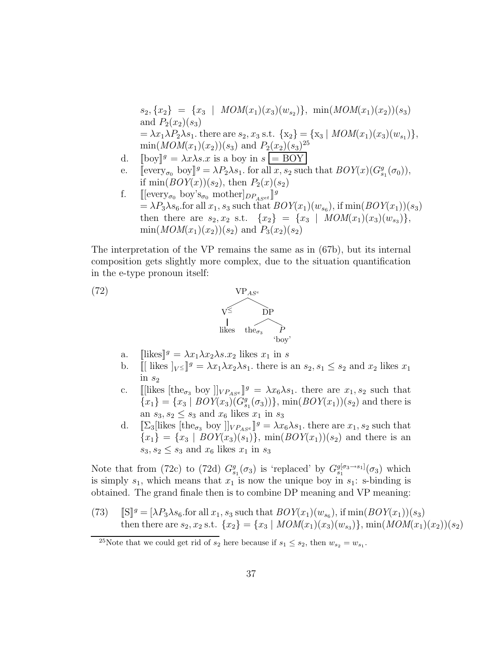$s_2, \{x_2\} = \{x_3 \mid MOM(x_1)(x_3)(w_{s_2})\}, \min(MOM(x_1)(x_2))(s_3)$ and  $P_2(x_2)(s_3)$  $=\lambda x_1 \lambda P_2 \lambda s_1$ . there are  $s_2, x_3$  s.t.  $\{x_2\} = \{x_3 \mid MOM(x_1)(x_3)(w_{s_1})\},$  $min(MOM(x_1)(x_2))(s_3)$  and  $P_2(x_2)(s_3)^{25}$ 

- d.  $\lbrack \lbrack \log \rbrack^g = \lambda x \lambda s.x$  is a boy in  $s = \text{BOY}$
- e. [every<sub> $\sigma_0$ </sub> boy]<sup>g</sup> =  $\lambda P_2 \lambda s_1$ . for all x, s<sub>2</sub> such that  $BOY(x)(G_{s_1}^g(\sigma_0))$ , if  $min(BOY(x))(s_2)$ , then  $P_2(x)(s_2)$
- f.  $[[every_{\sigma_0} by's_{\sigma_0} mother]_{DP_{ASet}}]^{g}$  $=\lambda P_3\lambda s_6$  for all  $x_1, s_3$  such that  $BOY(x_1)(w_{s_6}),$  if  $\min(BOY(x_1))(s_3)$ then there are  $s_2, x_2$  s.t.  $\{x_2\} = \{x_3 \mid MOM(x_1)(x_3)(w_{s_3})\},$  $min(MOM(x_1)(x_2))(s_2)$  and  $P_3(x_2)(s_2)$

The interpretation of the VP remains the same as in (67b), but its internal composition gets slightly more complex, due to the situation quantification in the e-type pronoun itself:



- a.  $\left\|\text{likes}\right\|^g = \lambda x_1 \lambda x_2 \lambda s \cdot x_2 \text{ likes } x_1 \text{ in } s$
- b.  $\iiint$  likes  $|y \leq |g| = \lambda x_1 \lambda x_2 \lambda s_1$ , there is an  $s_2, s_1 \leq s_2$  and  $x_2$  likes  $x_1$ in  $s_2$
- c. [[likes  $[\text{the}_{\sigma_3}$  boy  $\]_{VP_{ASE}}$ ]<sup>g</sup> =  $\lambda x_6 \lambda s_1$ . there are  $x_1, s_2$  such that  ${x_1} = {x_3 | BOY(x_3)(G_{s_1}^g(\sigma_3))}, \min(BOY(x_1))(s_2)$  and there is an  $s_3, s_2 \leq s_3$  and  $x_6$  likes  $x_1$  in  $s_3$
- d.  $[\![\Sigma_3\!]\!]$ likes  $[\![\text{the}_{\sigma_3} \text{ boy }]\!]_{VP_{ASE}}\!]^g = \lambda x_6 \lambda s_1$ . there are  $x_1, s_2$  such that  ${x_1} = {x_3 | B OY(x_3)(s_1)}, \min(B OY(x_1))(s_2)$  and there is an  $s_3, s_2 \leq s_3$  and  $x_6$  likes  $x_1$  in  $s_3$

Note that from (72c) to (72d)  $G_{s_1}^g(\sigma_3)$  is 'replaced' by  $G_{s_1}^{g[\sigma_3\to s_1]}(\sigma_3)$  which is simply  $s_1$ , which means that  $x_1$  is now the unique boy in  $s_1$ : s-binding is obtained. The grand finale then is to combine DP meaning and VP meaning:

(73)  $[\mathbb{S}]^g = [\lambda P_3 \lambda s_6$  for all  $x_1, s_3$  such that  $BOY(x_1)(w_{s_6}),$  if  $\min(BOY(x_1))(s_3)$ then there are  $s_2, x_2$  s.t.  $\{x_2\} = \{x_3 \mid MOM(x_1)(x_3)(w_{s_3})\}$ ,  $\min(MOM(x_1)(x_2))(s_2)$ 

<sup>&</sup>lt;sup>25</sup>Note that we could get rid of  $s_2$  here because if  $s_1 \leq s_2$ , then  $w_{s_2} = w_{s_1}$ .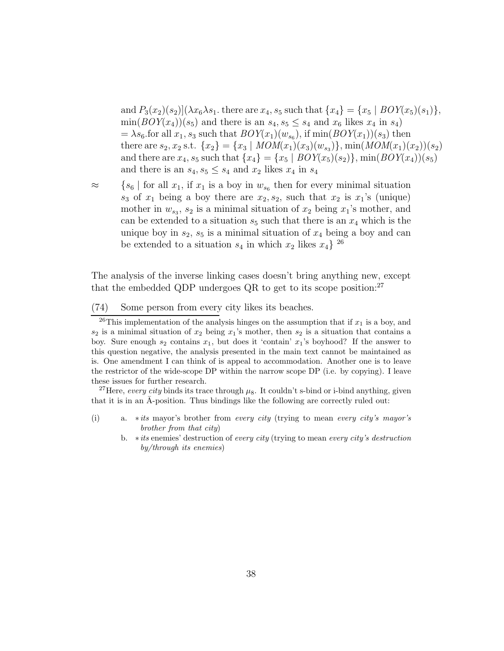and  $P_3(x_2)(s_2)|(\lambda x_6 \lambda s_1)$ , there are  $x_4$ ,  $s_5$  such that  $\{x_4\} = \{x_5 \mid BOY(x_5)(s_1)\},$  $\min(BOY(x_4))(s_5)$  and there is an  $s_4, s_5 \leq s_4$  and  $x_6$  likes  $x_4$  in  $s_4$ )  $=\lambda s_6$  for all  $x_1, s_3$  such that  $BOY(x_1)(w_{s_6}),$  if  $\min(BOY(x_1))(s_3)$  then there are  $s_2, x_2$  s.t.  $\{x_2\} = \{x_3 \mid MOM(x_1)(x_3)(w_{s_3})\}, \min(MOM(x_1)(x_2))(s_2)$ and there are  $x_4$ ,  $s_5$  such that  $\{x_4\} = \{x_5 \mid BOY(x_5)(s_2)\}\$ ,  $\min(BOY(x_4))(s_5)$ and there is an  $s_4, s_5 \leq s_4$  and  $x_2$  likes  $x_4$  in  $s_4$ 

 $\approx$  {s<sub>6</sub> | for all  $x_1$ , if  $x_1$  is a boy in  $w_{s_6}$  then for every minimal situation  $s_3$  of  $x_1$  being a boy there are  $x_2, s_2$ , such that  $x_2$  is  $x_1$ 's (unique) mother in  $w_{s_3}$ ,  $s_2$  is a minimal situation of  $x_2$  being  $x_1$ 's mother, and can be extended to a situation  $s_5$  such that there is an  $x_4$  which is the unique boy in  $s_2$ ,  $s_5$  is a minimal situation of  $x_4$  being a boy and can be extended to a situation  $s_4$  in which  $x_2$  likes  $x_4$ <sup>26</sup>

The analysis of the inverse linking cases doesn't bring anything new, except that the embedded QDP undergoes  $QR$  to get to its scope position:<sup>27</sup>

(74) Some person from every city likes its beaches.

<sup>26</sup>This implementation of the analysis hinges on the assumption that if  $x_1$  is a boy, and  $s_2$  is a minimal situation of  $x_2$  being  $x_1$ 's mother, then  $s_2$  is a situation that contains a boy. Sure enough  $s_2$  contains  $x_1$ , but does it 'contain'  $x_1$ 's boyhood? If the answer to this question negative, the analysis presented in the main text cannot be maintained as is. One amendment I can think of is appeal to accommodation. Another one is to leave the restrictor of the wide-scope DP within the narrow scope DP (i.e. by copying). I leave these issues for further research.

<sup>27</sup>Here, every city binds its trace through  $\mu_8$ . It couldn't s-bind or i-bind anything, given that it is in an  $\bar{A}$ -position. Thus bindings like the following are correctly ruled out:

- (i) a.  $*its$  mayor's brother from *every city* (trying to mean *every city's mayor's* brother from that city)
	- b.  $*its$  enemies' destruction of every city (trying to mean every city's destruction by/through its enemies)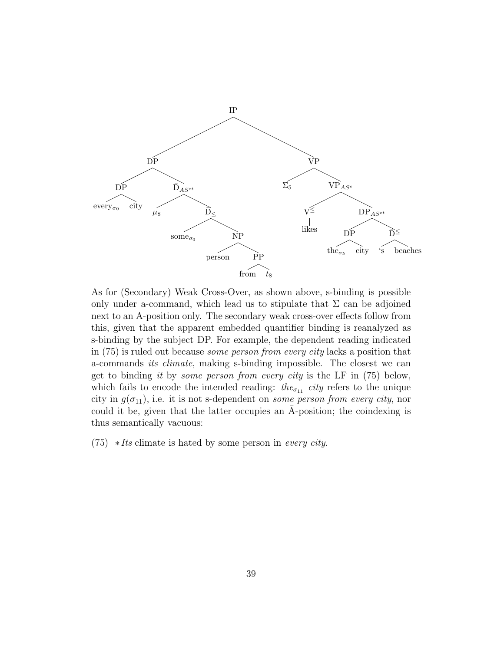

As for (Secondary) Weak Cross-Over, as shown above, s-binding is possible only under a-command, which lead us to stipulate that  $\Sigma$  can be adjoined next to an A-position only. The secondary weak cross-over effects follow from this, given that the apparent embedded quantifier binding is reanalyzed as s-binding by the subject DP. For example, the dependent reading indicated in (75) is ruled out because some person from every city lacks a position that a-commands its climate, making s-binding impossible. The closest we can get to binding it by some person from every city is the LF in (75) below, which fails to encode the intended reading: the<sub> $\sigma_{11}$ </sub> city refers to the unique city in  $g(\sigma_{11})$ , i.e. it is not s-dependent on *some person from every city*, nor could it be, given that the latter occupies an  $\overline{A}$ -position; the coindexing is thus semantically vacuous:

 $(75)$  *∗Its* climate is hated by some person in *every city*.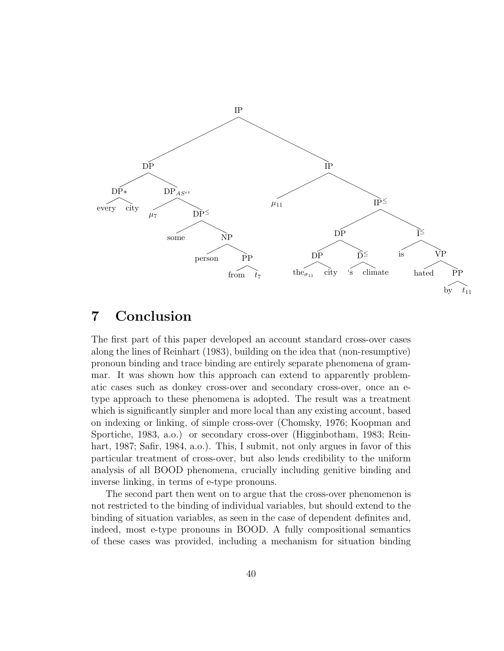

## 7 Conclusion

The first part of this paper developed an account standard cross-over cases along the lines of Reinhart (1983), building on the idea that (non-resumptive) pronoun binding and trace binding are entirely separate phenomena of grammar. It was shown how this approach can extend to apparently problematic cases such as donkey cross-over and secondary cross-over, once an etype approach to these phenomena is adopted. The result was a treatment which is significantly simpler and more local than any existing account, based on indexing or linking, of simple cross-over (Chomsky, 1976; Koopman and Sportiche, 1983, a.o.) or secondary cross-over (Higginbotham, 1983; Reinhart, 1987; Safir, 1984, a.o.). This, I submit, not only argues in favor of this particular treatment of cross-over, but also lends credibility to the uniform analysis of all BOOD phenomena, crucially including genitive binding and inverse linking, in terms of e-type pronouns.

The second part then went on to argue that the cross-over phenomenon is not restricted to the binding of individual variables, but should extend to the binding of situation variables, as seen in the case of dependent definites and, indeed, most e-type pronouns in BOOD. A fully compositional semantics of these cases was provided, including a mechanism for situation binding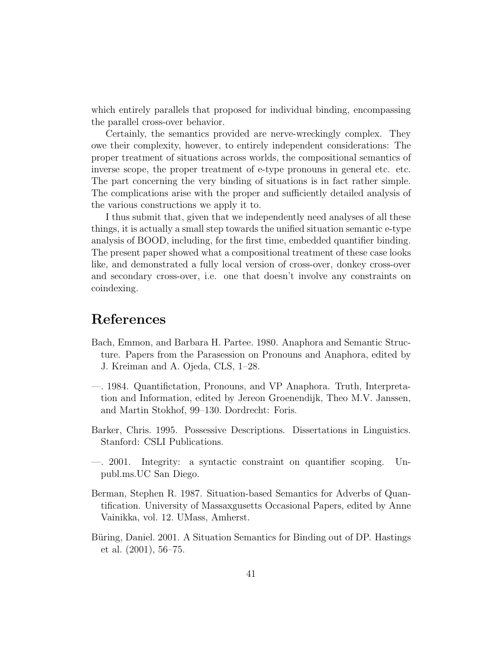which entirely parallels that proposed for individual binding, encompassing the parallel cross-over behavior.

Certainly, the semantics provided are nerve-wreckingly complex. They owe their complexity, however, to entirely independent considerations: The proper treatment of situations across worlds, the compositional semantics of inverse scope, the proper treatment of e-type pronouns in general etc. etc. The part concerning the very binding of situations is in fact rather simple. The complications arise with the proper and sufficiently detailed analysis of the various constructions we apply it to.

I thus submit that, given that we independently need analyses of all these things, it is actually a small step towards the unified situation semantic e-type analysis of BOOD, including, for the first time, embedded quantifier binding. The present paper showed what a compositional treatment of these case looks like, and demonstrated a fully local version of cross-over, donkey cross-over and secondary cross-over, i.e. one that doesn't involve any constraints on coindexing.

### References

- Bach, Emmon, and Barbara H. Partee. 1980. Anaphora and Semantic Structure. Papers from the Parasession on Pronouns and Anaphora, edited by J. Kreiman and A. Ojeda, CLS, 1–28.
- —. 1984. Quantifictation, Pronouns, and VP Anaphora. Truth, Interpretation and Information, edited by Jereon Groenendijk, Theo M.V. Janssen, and Martin Stokhof, 99–130. Dordrecht: Foris.
- Barker, Chris. 1995. Possessive Descriptions. Dissertations in Linguistics. Stanford: CSLI Publications.
- —. 2001. Integrity: a syntactic constraint on quantifier scoping. Unpubl.ms.UC San Diego.
- Berman, Stephen R. 1987. Situation-based Semantics for Adverbs of Quantification. University of Massaxgusetts Occasional Papers, edited by Anne Vainikka, vol. 12. UMass, Amherst.
- Büring, Daniel. 2001. A Situation Semantics for Binding out of DP. Hastings et al. (2001), 56–75.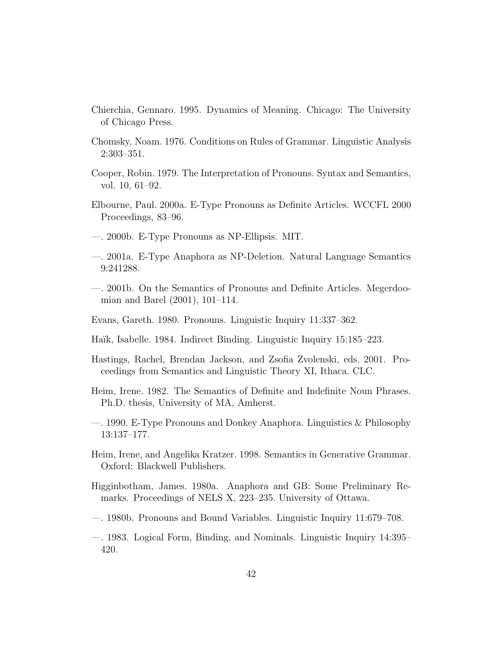- Chierchia, Gennaro. 1995. Dynamics of Meaning. Chicago: The University of Chicago Press.
- Chomsky, Noam. 1976. Conditions on Rules of Grammar. Linguistic Analysis 2:303–351.
- Cooper, Robin. 1979. The Interpretation of Pronouns. Syntax and Semantics, vol. 10, 61–92.
- Elbourne, Paul. 2000a. E-Type Pronouns as Definite Articles. WCCFL 2000 Proceedings, 83–96.
- —. 2000b. E-Type Pronouns as NP-Ellipsis. MIT.
- —. 2001a. E-Type Anaphora as NP-Deletion. Natural Language Semantics 9:241288.
- —. 2001b. On the Semantics of Pronouns and Definite Articles. Megerdoomian and Barel (2001), 101–114.
- Evans, Gareth. 1980. Pronouns. Linguistic Inquiry 11:337–362.
- Haïk, Isabelle. 1984. Indirect Binding. Linguistic Inquiry 15:185–223.
- Hastings, Rachel, Brendan Jackson, and Zsofia Zvolenski, eds. 2001. Proceedings from Semantics and Linguistic Theory XI, Ithaca. CLC.
- Heim, Irene. 1982. The Semantics of Definite and Indefinite Noun Phrases. Ph.D. thesis, University of MA, Amherst.
- —. 1990. E-Type Pronouns and Donkey Anaphora. Linguistics & Philosophy 13:137–177.
- Heim, Irene, and Angelika Kratzer. 1998. Semantics in Generative Grammar. Oxford: Blackwell Publishers.
- Higginbotham, James. 1980a. Anaphora and GB: Some Preliminary Remarks. Proceedings of NELS X, 223–235. University of Ottawa.
- —. 1980b. Pronouns and Bound Variables. Linguistic Inquiry 11:679–708.
- —. 1983. Logical Form, Binding, and Nominals. Linguistic Inquiry 14:395– 420.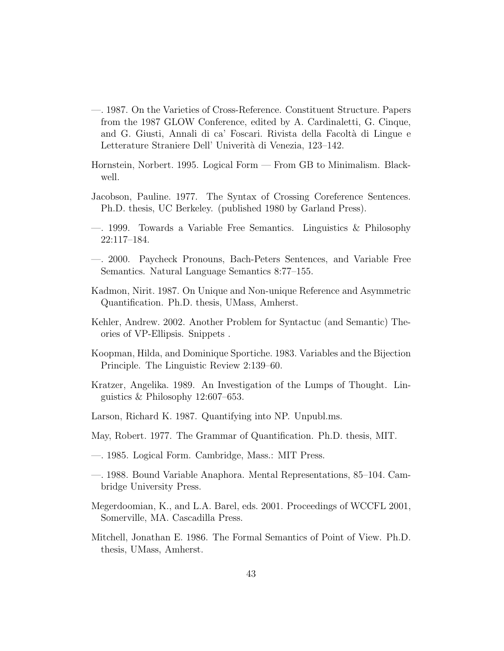- —. 1987. On the Varieties of Cross-Reference. Constituent Structure. Papers from the 1987 GLOW Conference, edited by A. Cardinaletti, G. Cinque, and G. Giusti, Annali di ca' Foscari. Rivista della Facolt`a di Lingue e Letterature Straniere Dell' Univerità di Venezia, 123–142.
- Hornstein, Norbert. 1995. Logical Form From GB to Minimalism. Blackwell.
- Jacobson, Pauline. 1977. The Syntax of Crossing Coreference Sentences. Ph.D. thesis, UC Berkeley. (published 1980 by Garland Press).
- —. 1999. Towards a Variable Free Semantics. Linguistics & Philosophy 22:117–184.
- —. 2000. Paycheck Pronouns, Bach-Peters Sentences, and Variable Free Semantics. Natural Language Semantics 8:77–155.
- Kadmon, Nirit. 1987. On Unique and Non-unique Reference and Asymmetric Quantification. Ph.D. thesis, UMass, Amherst.
- Kehler, Andrew. 2002. Another Problem for Syntactuc (and Semantic) Theories of VP-Ellipsis. Snippets .
- Koopman, Hilda, and Dominique Sportiche. 1983. Variables and the Bijection Principle. The Linguistic Review 2:139–60.
- Kratzer, Angelika. 1989. An Investigation of the Lumps of Thought. Linguistics & Philosophy 12:607–653.
- Larson, Richard K. 1987. Quantifying into NP. Unpubl.ms.
- May, Robert. 1977. The Grammar of Quantification. Ph.D. thesis, MIT.
- —. 1985. Logical Form. Cambridge, Mass.: MIT Press.
- —. 1988. Bound Variable Anaphora. Mental Representations, 85–104. Cambridge University Press.
- Megerdoomian, K., and L.A. Barel, eds. 2001. Proceedings of WCCFL 2001, Somerville, MA. Cascadilla Press.
- Mitchell, Jonathan E. 1986. The Formal Semantics of Point of View. Ph.D. thesis, UMass, Amherst.